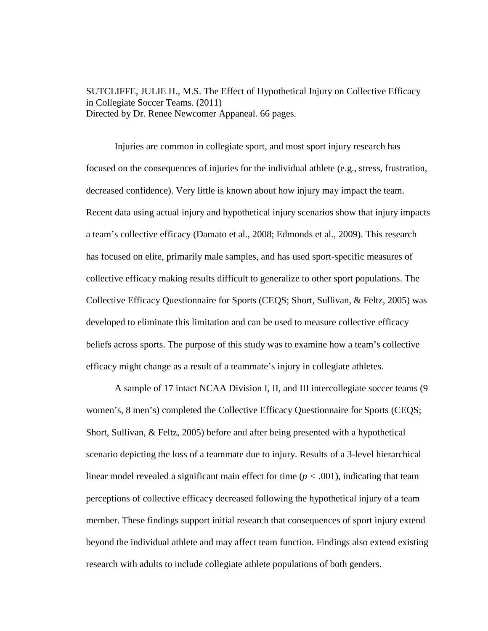SUTCLIFFE, JULIE H., M.S. The Effect of Hypothetical Injury on Collective Efficacy in Collegiate Soccer Teams. (2011) Directed by Dr. Renee Newcomer Appaneal. 66 pages.

Injuries are common in collegiate sport, and most sport injury research has focused on the consequences of injuries for the individual athlete (e.g., stress, frustration, decreased confidence). Very little is known about how injury may impact the team. Recent data using actual injury and hypothetical injury scenarios show that injury impacts a team's collective efficacy (Damato et al., 2008; Edmonds et al., 2009). This research has focused on elite, primarily male samples, and has used sport-specific measures of collective efficacy making results difficult to generalize to other sport populations. The Collective Efficacy Questionnaire for Sports (CEQS; Short, Sullivan, & Feltz, 2005) was developed to eliminate this limitation and can be used to measure collective efficacy beliefs across sports. The purpose of this study was to examine how a team's collective efficacy might change as a result of a teammate's injury in collegiate athletes.

A sample of 17 intact NCAA Division I, II, and III intercollegiate soccer teams (9 women's, 8 men's) completed the Collective Efficacy Questionnaire for Sports (CEQS; Short, Sullivan, & Feltz, 2005) before and after being presented with a hypothetical scenario depicting the loss of a teammate due to injury. Results of a 3-level hierarchical linear model revealed a significant main effect for time  $(p < .001)$ , indicating that team perceptions of collective efficacy decreased following the hypothetical injury of a team member. These findings support initial research that consequences of sport injury extend beyond the individual athlete and may affect team function. Findings also extend existing research with adults to include collegiate athlete populations of both genders.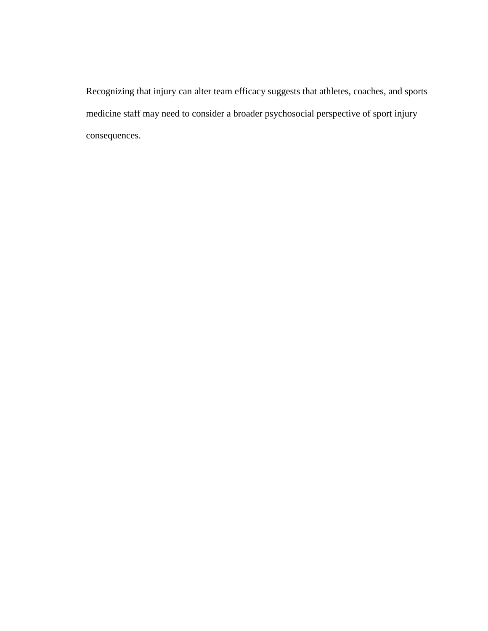Recognizing that injury can alter team efficacy suggests that athletes, coaches, and sports medicine staff may need to consider a broader psychosocial perspective of sport injury consequences.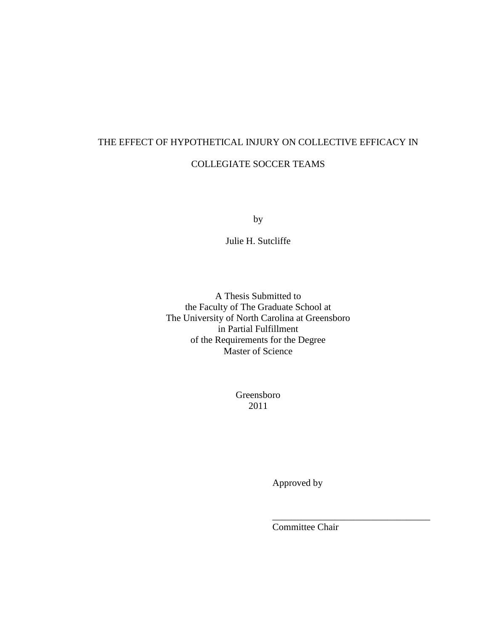# THE EFFECT OF HYPOTHETICAL INJURY ON COLLECTIVE EFFICACY IN COLLEGIATE SOCCER TEAMS

by

Julie H. Sutcliffe

A Thesis Submitted to the Faculty of The Graduate School at The University of North Carolina at Greensboro in Partial Fulfillment of the Requirements for the Degree Master of Science

> Greensboro 2011

> > Approved by

Committee Chair

\_\_\_\_\_\_\_\_\_\_\_\_\_\_\_\_\_\_\_\_\_\_\_\_\_\_\_\_\_\_\_\_\_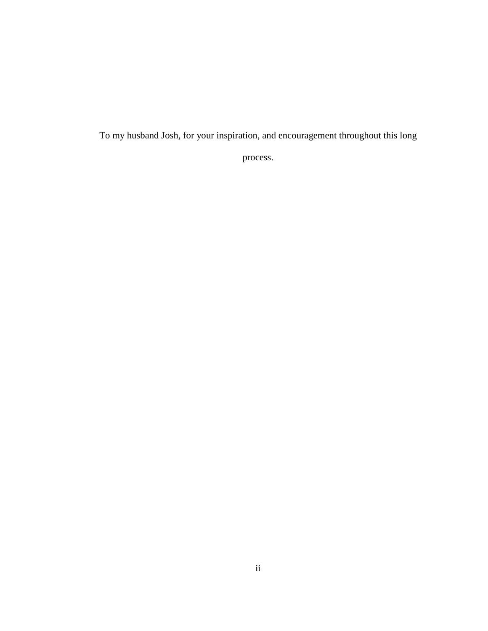To my husband Josh, for your inspiration, and encouragement throughout this long

process.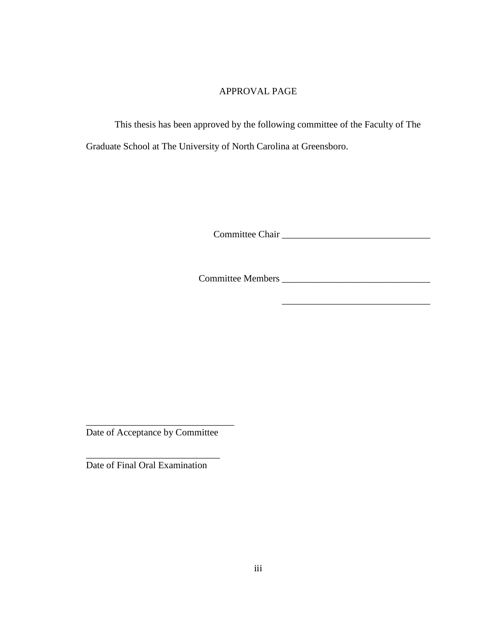## APPROVAL PAGE

This thesis has been approved by the following committee of the Faculty of The Graduate School at The University of North Carolina at Greensboro.

Committee Chair \_\_\_\_\_\_\_\_\_\_\_\_\_\_\_\_\_\_\_\_\_\_\_\_\_\_\_\_\_\_\_

Committee Members \_\_\_\_\_\_\_\_\_\_\_\_\_\_\_\_\_\_\_\_\_\_\_\_\_\_\_\_\_\_\_

\_\_\_\_\_\_\_\_\_\_\_\_\_\_\_\_\_\_\_\_\_\_\_\_\_\_\_\_\_\_\_

Date of Acceptance by Committee

\_\_\_\_\_\_\_\_\_\_\_\_\_\_\_\_\_\_\_\_\_\_\_\_\_\_\_\_

\_\_\_\_\_\_\_\_\_\_\_\_\_\_\_\_\_\_\_\_\_\_\_\_\_\_\_\_\_\_\_

Date of Final Oral Examination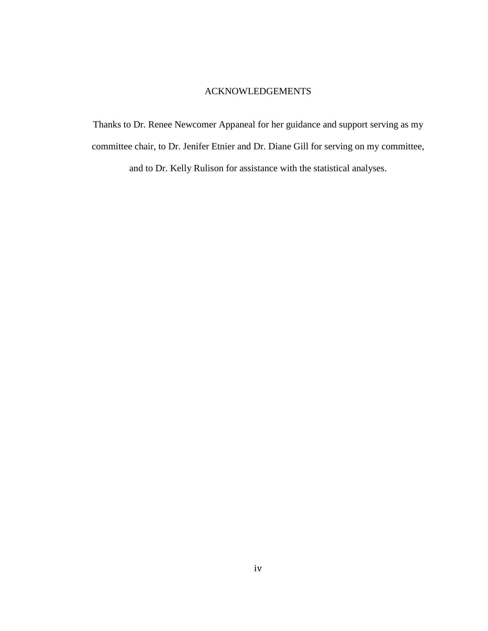#### ACKNOWLEDGEMENTS

Thanks to Dr. Renee Newcomer Appaneal for her guidance and support serving as my committee chair, to Dr. Jenifer Etnier and Dr. Diane Gill for serving on my committee,

and to Dr. Kelly Rulison for assistance with the statistical analyses.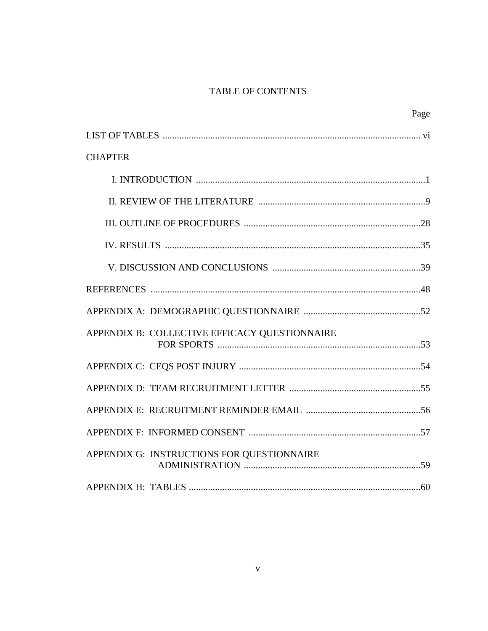# TABLE OF CONTENTS

|                                               | Page |
|-----------------------------------------------|------|
|                                               |      |
| <b>CHAPTER</b>                                |      |
|                                               |      |
|                                               |      |
|                                               |      |
|                                               |      |
|                                               |      |
|                                               |      |
|                                               |      |
| APPENDIX B: COLLECTIVE EFFICACY QUESTIONNAIRE |      |
|                                               |      |
|                                               |      |
|                                               |      |
|                                               |      |
| APPENDIX G: INSTRUCTIONS FOR QUESTIONNAIRE    |      |
|                                               |      |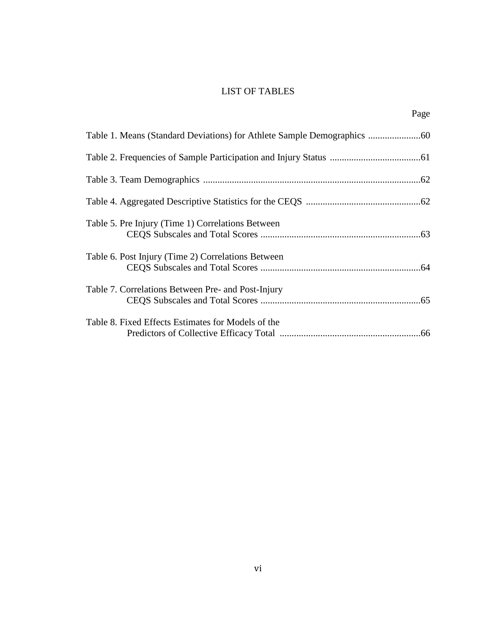# LIST OF TABLES

Page

| Table 5. Pre Injury (Time 1) Correlations Between  |
|----------------------------------------------------|
| Table 6. Post Injury (Time 2) Correlations Between |
| Table 7. Correlations Between Pre- and Post-Injury |
| Table 8. Fixed Effects Estimates for Models of the |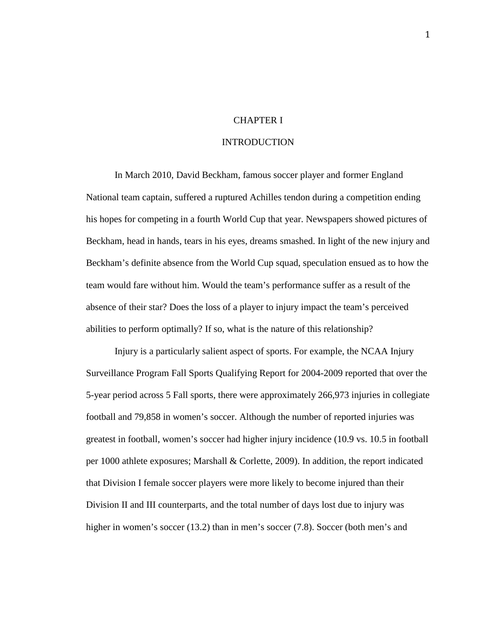#### CHAPTER I

#### INTRODUCTION

In March 2010, David Beckham, famous soccer player and former England National team captain, suffered a ruptured Achilles tendon during a competition ending his hopes for competing in a fourth World Cup that year. Newspapers showed pictures of Beckham, head in hands, tears in his eyes, dreams smashed. In light of the new injury and Beckham's definite absence from the World Cup squad, speculation ensued as to how the team would fare without him. Would the team's performance suffer as a result of the absence of their star? Does the loss of a player to injury impact the team's perceived abilities to perform optimally? If so, what is the nature of this relationship?

Injury is a particularly salient aspect of sports. For example, the NCAA Injury Surveillance Program Fall Sports Qualifying Report for 2004-2009 reported that over the 5-year period across 5 Fall sports, there were approximately 266,973 injuries in collegiate football and 79,858 in women's soccer. Although the number of reported injuries was greatest in football, women's soccer had higher injury incidence (10.9 vs. 10.5 in football per 1000 athlete exposures; Marshall & Corlette, 2009). In addition, the report indicated that Division I female soccer players were more likely to become injured than their Division II and III counterparts, and the total number of days lost due to injury was higher in women's soccer (13.2) than in men's soccer (7.8). Soccer (both men's and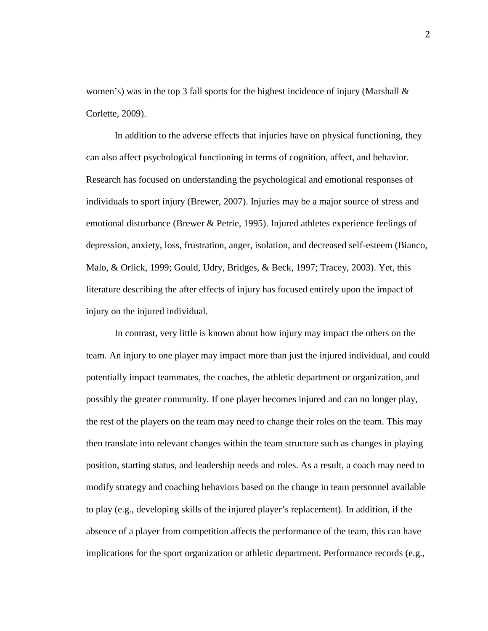women's) was in the top 3 fall sports for the highest incidence of injury (Marshall & Corlette, 2009).

In addition to the adverse effects that injuries have on physical functioning, they can also affect psychological functioning in terms of cognition, affect, and behavior. Research has focused on understanding the psychological and emotional responses of individuals to sport injury (Brewer, 2007). Injuries may be a major source of stress and emotional disturbance (Brewer & Petrie, 1995). Injured athletes experience feelings of depression, anxiety, loss, frustration, anger, isolation, and decreased self-esteem (Bianco, Malo, & Orlick, 1999; Gould, Udry, Bridges, & Beck, 1997; Tracey, 2003). Yet, this literature describing the after effects of injury has focused entirely upon the impact of injury on the injured individual.

In contrast, very little is known about how injury may impact the others on the team. An injury to one player may impact more than just the injured individual, and could potentially impact teammates, the coaches, the athletic department or organization, and possibly the greater community. If one player becomes injured and can no longer play, the rest of the players on the team may need to change their roles on the team. This may then translate into relevant changes within the team structure such as changes in playing position, starting status, and leadership needs and roles. As a result, a coach may need to modify strategy and coaching behaviors based on the change in team personnel available to play (e.g., developing skills of the injured player's replacement). In addition, if the absence of a player from competition affects the performance of the team, this can have implications for the sport organization or athletic department. Performance records (e.g.,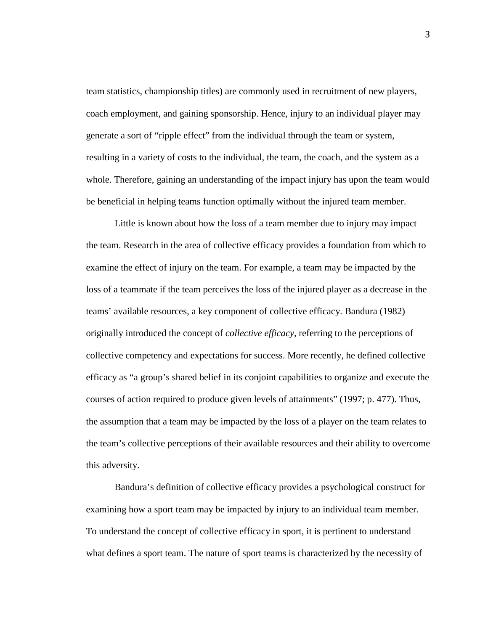team statistics, championship titles) are commonly used in recruitment of new players, coach employment, and gaining sponsorship. Hence, injury to an individual player may generate a sort of "ripple effect" from the individual through the team or system, resulting in a variety of costs to the individual, the team, the coach, and the system as a whole. Therefore, gaining an understanding of the impact injury has upon the team would be beneficial in helping teams function optimally without the injured team member.

Little is known about how the loss of a team member due to injury may impact the team. Research in the area of collective efficacy provides a foundation from which to examine the effect of injury on the team. For example, a team may be impacted by the loss of a teammate if the team perceives the loss of the injured player as a decrease in the teams' available resources, a key component of collective efficacy. Bandura (1982) originally introduced the concept of *collective efficacy,* referring to the perceptions of collective competency and expectations for success. More recently, he defined collective efficacy as "a group's shared belief in its conjoint capabilities to organize and execute the courses of action required to produce given levels of attainments" (1997; p. 477). Thus, the assumption that a team may be impacted by the loss of a player on the team relates to the team's collective perceptions of their available resources and their ability to overcome this adversity.

Bandura's definition of collective efficacy provides a psychological construct for examining how a sport team may be impacted by injury to an individual team member. To understand the concept of collective efficacy in sport, it is pertinent to understand what defines a sport team. The nature of sport teams is characterized by the necessity of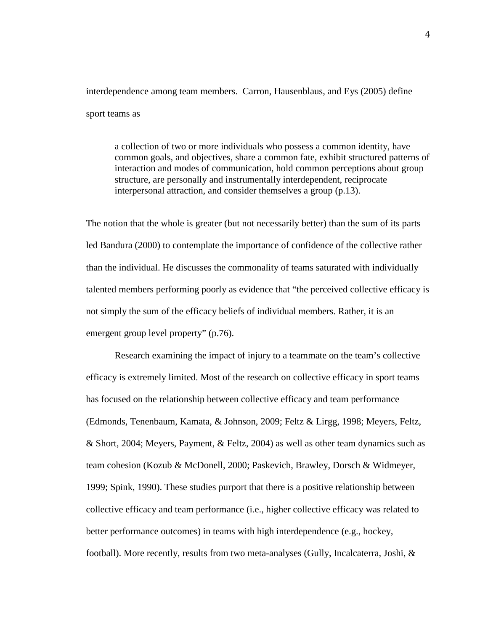interdependence among team members. Carron, Hausenblaus, and Eys (2005) define sport teams as

a collection of two or more individuals who possess a common identity, have common goals, and objectives, share a common fate, exhibit structured patterns of interaction and modes of communication, hold common perceptions about group structure, are personally and instrumentally interdependent, reciprocate interpersonal attraction, and consider themselves a group (p.13).

The notion that the whole is greater (but not necessarily better) than the sum of its parts led Bandura (2000) to contemplate the importance of confidence of the collective rather than the individual. He discusses the commonality of teams saturated with individually talented members performing poorly as evidence that "the perceived collective efficacy is not simply the sum of the efficacy beliefs of individual members. Rather, it is an emergent group level property" (p.76).

 Research examining the impact of injury to a teammate on the team's collective efficacy is extremely limited. Most of the research on collective efficacy in sport teams has focused on the relationship between collective efficacy and team performance (Edmonds, Tenenbaum, Kamata, & Johnson, 2009; Feltz & Lirgg, 1998; Meyers, Feltz, & Short, 2004; Meyers, Payment, & Feltz, 2004) as well as other team dynamics such as team cohesion (Kozub & McDonell, 2000; Paskevich, Brawley, Dorsch & Widmeyer, 1999; Spink, 1990). These studies purport that there is a positive relationship between collective efficacy and team performance (i.e., higher collective efficacy was related to better performance outcomes) in teams with high interdependence (e.g., hockey, football). More recently, results from two meta-analyses (Gully, Incalcaterra, Joshi, &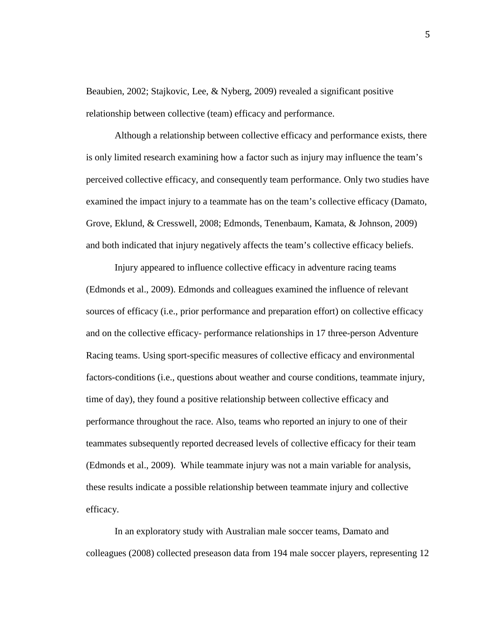Beaubien, 2002; Stajkovic, Lee, & Nyberg, 2009) revealed a significant positive relationship between collective (team) efficacy and performance.

 Although a relationship between collective efficacy and performance exists, there is only limited research examining how a factor such as injury may influence the team's perceived collective efficacy, and consequently team performance. Only two studies have examined the impact injury to a teammate has on the team's collective efficacy (Damato, Grove, Eklund, & Cresswell, 2008; Edmonds, Tenenbaum, Kamata, & Johnson, 2009) and both indicated that injury negatively affects the team's collective efficacy beliefs.

Injury appeared to influence collective efficacy in adventure racing teams (Edmonds et al., 2009). Edmonds and colleagues examined the influence of relevant sources of efficacy (i.e., prior performance and preparation effort) on collective efficacy and on the collective efficacy- performance relationships in 17 three-person Adventure Racing teams. Using sport-specific measures of collective efficacy and environmental factors-conditions (i.e., questions about weather and course conditions, teammate injury, time of day), they found a positive relationship between collective efficacy and performance throughout the race. Also, teams who reported an injury to one of their teammates subsequently reported decreased levels of collective efficacy for their team (Edmonds et al., 2009). While teammate injury was not a main variable for analysis, these results indicate a possible relationship between teammate injury and collective efficacy.

In an exploratory study with Australian male soccer teams, Damato and colleagues (2008) collected preseason data from 194 male soccer players, representing 12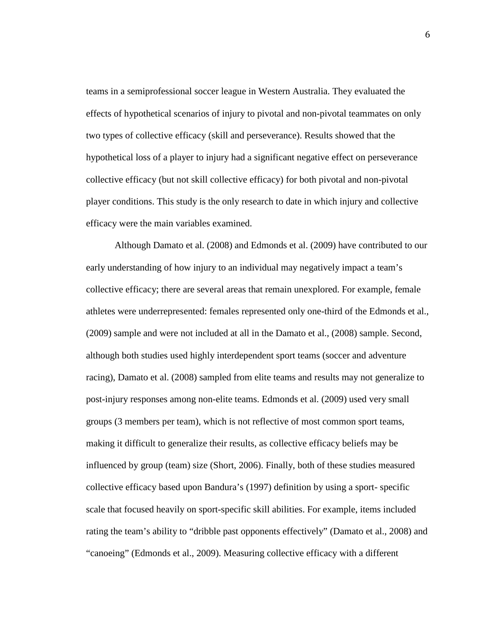teams in a semiprofessional soccer league in Western Australia. They evaluated the effects of hypothetical scenarios of injury to pivotal and non-pivotal teammates on only two types of collective efficacy (skill and perseverance). Results showed that the hypothetical loss of a player to injury had a significant negative effect on perseverance collective efficacy (but not skill collective efficacy) for both pivotal and non-pivotal player conditions. This study is the only research to date in which injury and collective efficacy were the main variables examined.

Although Damato et al. (2008) and Edmonds et al. (2009) have contributed to our early understanding of how injury to an individual may negatively impact a team's collective efficacy; there are several areas that remain unexplored. For example, female athletes were underrepresented: females represented only one-third of the Edmonds et al., (2009) sample and were not included at all in the Damato et al., (2008) sample. Second, although both studies used highly interdependent sport teams (soccer and adventure racing), Damato et al. (2008) sampled from elite teams and results may not generalize to post-injury responses among non-elite teams. Edmonds et al. (2009) used very small groups (3 members per team), which is not reflective of most common sport teams, making it difficult to generalize their results, as collective efficacy beliefs may be influenced by group (team) size (Short, 2006). Finally, both of these studies measured collective efficacy based upon Bandura's (1997) definition by using a sport- specific scale that focused heavily on sport-specific skill abilities. For example, items included rating the team's ability to "dribble past opponents effectively" (Damato et al., 2008) and "canoeing" (Edmonds et al., 2009). Measuring collective efficacy with a different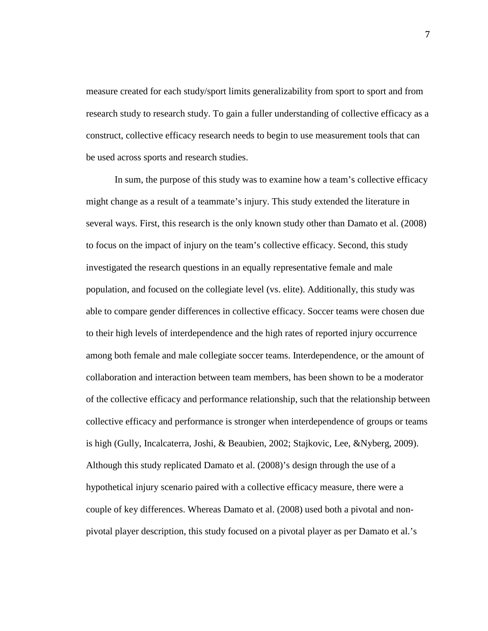measure created for each study/sport limits generalizability from sport to sport and from research study to research study. To gain a fuller understanding of collective efficacy as a construct, collective efficacy research needs to begin to use measurement tools that can be used across sports and research studies.

In sum, the purpose of this study was to examine how a team's collective efficacy might change as a result of a teammate's injury. This study extended the literature in several ways. First, this research is the only known study other than Damato et al. (2008) to focus on the impact of injury on the team's collective efficacy. Second, this study investigated the research questions in an equally representative female and male population, and focused on the collegiate level (vs. elite). Additionally, this study was able to compare gender differences in collective efficacy. Soccer teams were chosen due to their high levels of interdependence and the high rates of reported injury occurrence among both female and male collegiate soccer teams. Interdependence, or the amount of collaboration and interaction between team members, has been shown to be a moderator of the collective efficacy and performance relationship, such that the relationship between collective efficacy and performance is stronger when interdependence of groups or teams is high (Gully, Incalcaterra, Joshi, & Beaubien, 2002; Stajkovic, Lee, &Nyberg, 2009). Although this study replicated Damato et al. (2008)'s design through the use of a hypothetical injury scenario paired with a collective efficacy measure, there were a couple of key differences. Whereas Damato et al. (2008) used both a pivotal and nonpivotal player description, this study focused on a pivotal player as per Damato et al.'s

7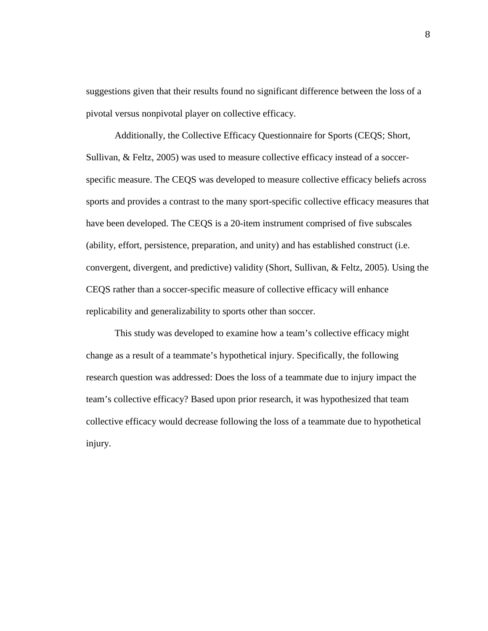suggestions given that their results found no significant difference between the loss of a pivotal versus nonpivotal player on collective efficacy.

Additionally, the Collective Efficacy Questionnaire for Sports (CEQS; Short, Sullivan, & Feltz, 2005) was used to measure collective efficacy instead of a soccerspecific measure. The CEQS was developed to measure collective efficacy beliefs across sports and provides a contrast to the many sport-specific collective efficacy measures that have been developed. The CEQS is a 20-item instrument comprised of five subscales (ability, effort, persistence, preparation, and unity) and has established construct (i.e. convergent, divergent, and predictive) validity (Short, Sullivan, & Feltz, 2005). Using the CEQS rather than a soccer-specific measure of collective efficacy will enhance replicability and generalizability to sports other than soccer.

This study was developed to examine how a team's collective efficacy might change as a result of a teammate's hypothetical injury. Specifically, the following research question was addressed: Does the loss of a teammate due to injury impact the team's collective efficacy? Based upon prior research, it was hypothesized that team collective efficacy would decrease following the loss of a teammate due to hypothetical injury.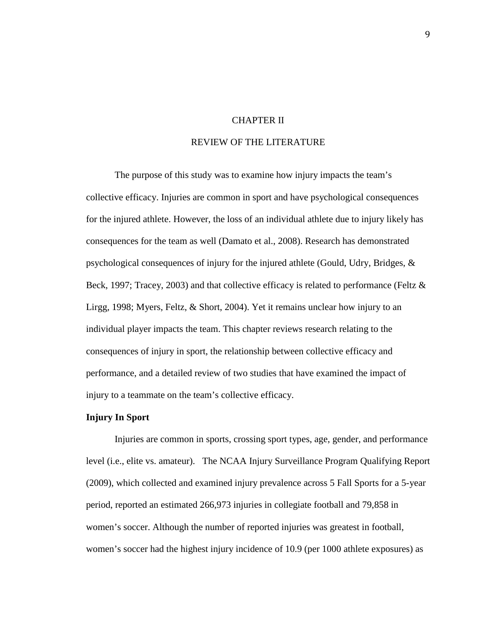## CHAPTER II

## REVIEW OF THE LITERATURE

The purpose of this study was to examine how injury impacts the team's collective efficacy. Injuries are common in sport and have psychological consequences for the injured athlete. However, the loss of an individual athlete due to injury likely has consequences for the team as well (Damato et al., 2008). Research has demonstrated psychological consequences of injury for the injured athlete (Gould, Udry, Bridges, & Beck, 1997; Tracey, 2003) and that collective efficacy is related to performance (Feltz & Lirgg, 1998; Myers, Feltz, & Short, 2004). Yet it remains unclear how injury to an individual player impacts the team. This chapter reviews research relating to the consequences of injury in sport, the relationship between collective efficacy and performance, and a detailed review of two studies that have examined the impact of injury to a teammate on the team's collective efficacy.

#### **Injury In Sport**

Injuries are common in sports, crossing sport types, age, gender, and performance level (i.e., elite vs. amateur). The NCAA Injury Surveillance Program Qualifying Report (2009), which collected and examined injury prevalence across 5 Fall Sports for a 5-year period, reported an estimated 266,973 injuries in collegiate football and 79,858 in women's soccer. Although the number of reported injuries was greatest in football, women's soccer had the highest injury incidence of 10.9 (per 1000 athlete exposures) as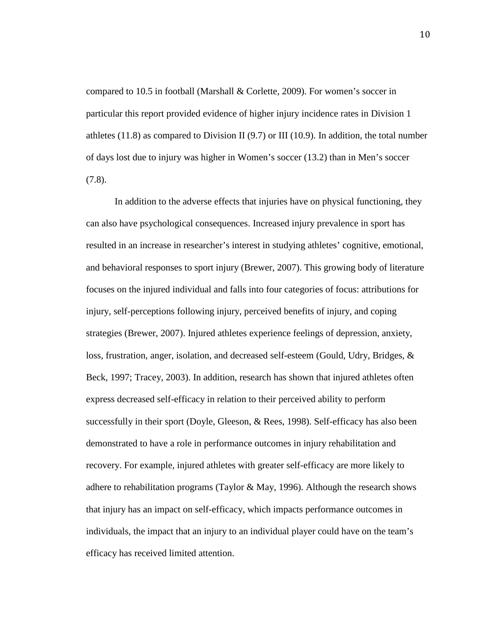compared to 10.5 in football (Marshall & Corlette, 2009). For women's soccer in particular this report provided evidence of higher injury incidence rates in Division 1 athletes  $(11.8)$  as compared to Division II  $(9.7)$  or III  $(10.9)$ . In addition, the total number of days lost due to injury was higher in Women's soccer (13.2) than in Men's soccer (7.8).

In addition to the adverse effects that injuries have on physical functioning, they can also have psychological consequences. Increased injury prevalence in sport has resulted in an increase in researcher's interest in studying athletes' cognitive, emotional, and behavioral responses to sport injury (Brewer, 2007). This growing body of literature focuses on the injured individual and falls into four categories of focus: attributions for injury, self-perceptions following injury, perceived benefits of injury, and coping strategies (Brewer, 2007). Injured athletes experience feelings of depression, anxiety, loss, frustration, anger, isolation, and decreased self-esteem (Gould, Udry, Bridges, & Beck, 1997; Tracey, 2003). In addition, research has shown that injured athletes often express decreased self-efficacy in relation to their perceived ability to perform successfully in their sport (Doyle, Gleeson, & Rees, 1998). Self-efficacy has also been demonstrated to have a role in performance outcomes in injury rehabilitation and recovery. For example, injured athletes with greater self-efficacy are more likely to adhere to rehabilitation programs (Taylor & May, 1996). Although the research shows that injury has an impact on self-efficacy, which impacts performance outcomes in individuals, the impact that an injury to an individual player could have on the team's efficacy has received limited attention.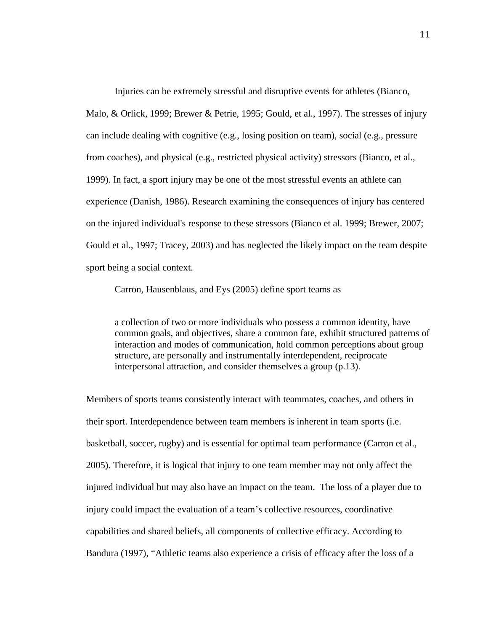Injuries can be extremely stressful and disruptive events for athletes (Bianco, Malo, & Orlick, 1999; Brewer & Petrie, 1995; Gould, et al., 1997). The stresses of injury can include dealing with cognitive (e.g., losing position on team), social (e.g., pressure from coaches), and physical (e.g., restricted physical activity) stressors (Bianco, et al., 1999). In fact, a sport injury may be one of the most stressful events an athlete can experience (Danish, 1986). Research examining the consequences of injury has centered on the injured individual's response to these stressors (Bianco et al. 1999; Brewer, 2007; Gould et al., 1997; Tracey, 2003) and has neglected the likely impact on the team despite sport being a social context.

Carron, Hausenblaus, and Eys (2005) define sport teams as

a collection of two or more individuals who possess a common identity, have common goals, and objectives, share a common fate, exhibit structured patterns of interaction and modes of communication, hold common perceptions about group structure, are personally and instrumentally interdependent, reciprocate interpersonal attraction, and consider themselves a group (p.13).

Members of sports teams consistently interact with teammates, coaches, and others in their sport. Interdependence between team members is inherent in team sports (i.e. basketball, soccer, rugby) and is essential for optimal team performance (Carron et al., 2005). Therefore, it is logical that injury to one team member may not only affect the injured individual but may also have an impact on the team. The loss of a player due to injury could impact the evaluation of a team's collective resources, coordinative capabilities and shared beliefs, all components of collective efficacy. According to Bandura (1997), "Athletic teams also experience a crisis of efficacy after the loss of a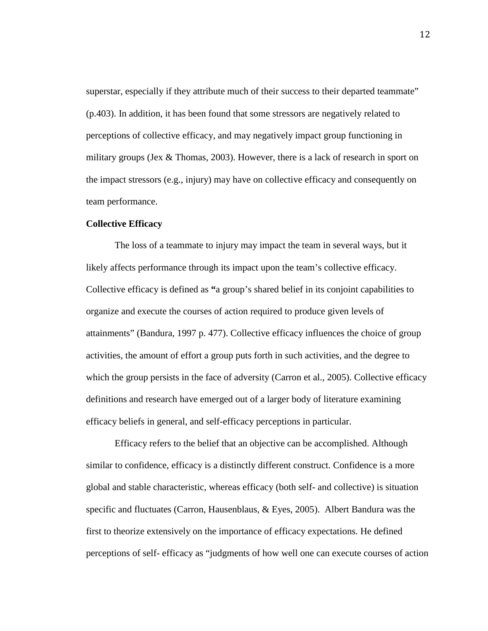superstar, especially if they attribute much of their success to their departed teammate" (p.403). In addition, it has been found that some stressors are negatively related to perceptions of collective efficacy, and may negatively impact group functioning in military groups (Jex & Thomas, 2003). However, there is a lack of research in sport on the impact stressors (e.g., injury) may have on collective efficacy and consequently on team performance.

#### **Collective Efficacy**

The loss of a teammate to injury may impact the team in several ways, but it likely affects performance through its impact upon the team's collective efficacy. Collective efficacy is defined as **"**a group's shared belief in its conjoint capabilities to organize and execute the courses of action required to produce given levels of attainments" (Bandura, 1997 p. 477). Collective efficacy influences the choice of group activities, the amount of effort a group puts forth in such activities, and the degree to which the group persists in the face of adversity (Carron et al., 2005). Collective efficacy definitions and research have emerged out of a larger body of literature examining efficacy beliefs in general, and self-efficacy perceptions in particular.

 Efficacy refers to the belief that an objective can be accomplished. Although similar to confidence, efficacy is a distinctly different construct. Confidence is a more global and stable characteristic, whereas efficacy (both self- and collective) is situation specific and fluctuates (Carron, Hausenblaus, & Eyes, 2005). Albert Bandura was the first to theorize extensively on the importance of efficacy expectations. He defined perceptions of self- efficacy as "judgments of how well one can execute courses of action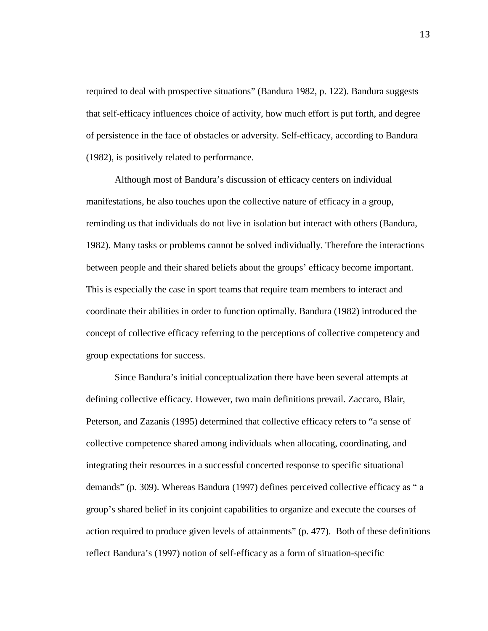required to deal with prospective situations" (Bandura 1982, p. 122). Bandura suggests that self-efficacy influences choice of activity, how much effort is put forth, and degree of persistence in the face of obstacles or adversity. Self-efficacy, according to Bandura (1982), is positively related to performance.

 Although most of Bandura's discussion of efficacy centers on individual manifestations, he also touches upon the collective nature of efficacy in a group, reminding us that individuals do not live in isolation but interact with others (Bandura, 1982). Many tasks or problems cannot be solved individually. Therefore the interactions between people and their shared beliefs about the groups' efficacy become important. This is especially the case in sport teams that require team members to interact and coordinate their abilities in order to function optimally. Bandura (1982) introduced the concept of collective efficacy referring to the perceptions of collective competency and group expectations for success.

 Since Bandura's initial conceptualization there have been several attempts at defining collective efficacy. However, two main definitions prevail. Zaccaro, Blair, Peterson, and Zazanis (1995) determined that collective efficacy refers to "a sense of collective competence shared among individuals when allocating, coordinating, and integrating their resources in a successful concerted response to specific situational demands" (p. 309). Whereas Bandura (1997) defines perceived collective efficacy as " a group's shared belief in its conjoint capabilities to organize and execute the courses of action required to produce given levels of attainments" (p. 477). Both of these definitions reflect Bandura's (1997) notion of self-efficacy as a form of situation-specific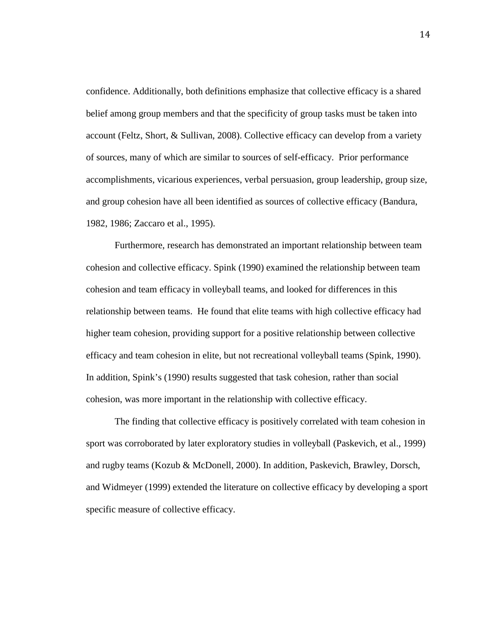confidence. Additionally, both definitions emphasize that collective efficacy is a shared belief among group members and that the specificity of group tasks must be taken into account (Feltz, Short, & Sullivan, 2008). Collective efficacy can develop from a variety of sources, many of which are similar to sources of self-efficacy. Prior performance accomplishments, vicarious experiences, verbal persuasion, group leadership, group size, and group cohesion have all been identified as sources of collective efficacy (Bandura, 1982, 1986; Zaccaro et al., 1995).

Furthermore, research has demonstrated an important relationship between team cohesion and collective efficacy. Spink (1990) examined the relationship between team cohesion and team efficacy in volleyball teams, and looked for differences in this relationship between teams. He found that elite teams with high collective efficacy had higher team cohesion, providing support for a positive relationship between collective efficacy and team cohesion in elite, but not recreational volleyball teams (Spink, 1990). In addition, Spink's (1990) results suggested that task cohesion, rather than social cohesion, was more important in the relationship with collective efficacy.

The finding that collective efficacy is positively correlated with team cohesion in sport was corroborated by later exploratory studies in volleyball (Paskevich, et al., 1999) and rugby teams (Kozub & McDonell, 2000). In addition, Paskevich, Brawley, Dorsch, and Widmeyer (1999) extended the literature on collective efficacy by developing a sport specific measure of collective efficacy.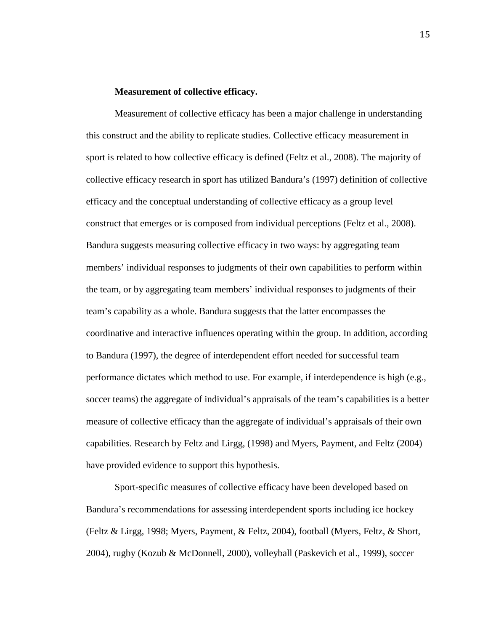#### **Measurement of collective efficacy.**

Measurement of collective efficacy has been a major challenge in understanding this construct and the ability to replicate studies. Collective efficacy measurement in sport is related to how collective efficacy is defined (Feltz et al., 2008). The majority of collective efficacy research in sport has utilized Bandura's (1997) definition of collective efficacy and the conceptual understanding of collective efficacy as a group level construct that emerges or is composed from individual perceptions (Feltz et al., 2008). Bandura suggests measuring collective efficacy in two ways: by aggregating team members' individual responses to judgments of their own capabilities to perform within the team, or by aggregating team members' individual responses to judgments of their team's capability as a whole. Bandura suggests that the latter encompasses the coordinative and interactive influences operating within the group. In addition, according to Bandura (1997), the degree of interdependent effort needed for successful team performance dictates which method to use. For example, if interdependence is high (e.g., soccer teams) the aggregate of individual's appraisals of the team's capabilities is a better measure of collective efficacy than the aggregate of individual's appraisals of their own capabilities. Research by Feltz and Lirgg, (1998) and Myers, Payment, and Feltz (2004) have provided evidence to support this hypothesis.

Sport-specific measures of collective efficacy have been developed based on Bandura's recommendations for assessing interdependent sports including ice hockey (Feltz & Lirgg, 1998; Myers, Payment, & Feltz, 2004), football (Myers, Feltz, & Short, 2004), rugby (Kozub & McDonnell, 2000), volleyball (Paskevich et al., 1999), soccer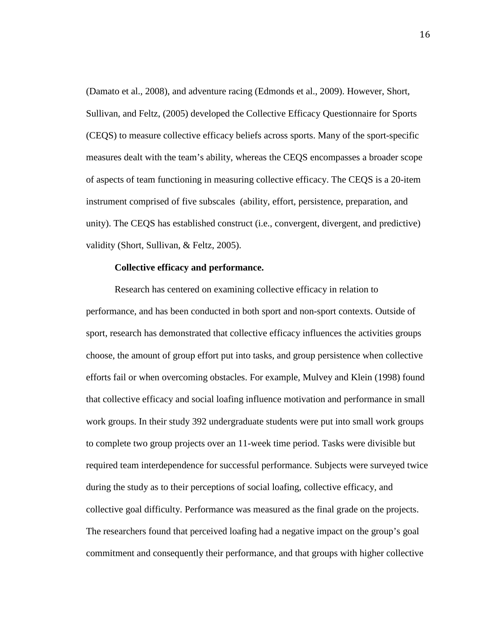(Damato et al., 2008), and adventure racing (Edmonds et al., 2009). However, Short, Sullivan, and Feltz, (2005) developed the Collective Efficacy Questionnaire for Sports (CEQS) to measure collective efficacy beliefs across sports. Many of the sport-specific measures dealt with the team's ability, whereas the CEQS encompasses a broader scope of aspects of team functioning in measuring collective efficacy. The CEQS is a 20-item instrument comprised of five subscales (ability, effort, persistence, preparation, and unity). The CEQS has established construct (i.e., convergent, divergent, and predictive) validity (Short, Sullivan, & Feltz, 2005).

#### **Collective efficacy and performance.**

Research has centered on examining collective efficacy in relation to performance, and has been conducted in both sport and non-sport contexts. Outside of sport, research has demonstrated that collective efficacy influences the activities groups choose, the amount of group effort put into tasks, and group persistence when collective efforts fail or when overcoming obstacles. For example, Mulvey and Klein (1998) found that collective efficacy and social loafing influence motivation and performance in small work groups. In their study 392 undergraduate students were put into small work groups to complete two group projects over an 11-week time period. Tasks were divisible but required team interdependence for successful performance. Subjects were surveyed twice during the study as to their perceptions of social loafing, collective efficacy, and collective goal difficulty. Performance was measured as the final grade on the projects. The researchers found that perceived loafing had a negative impact on the group's goal commitment and consequently their performance, and that groups with higher collective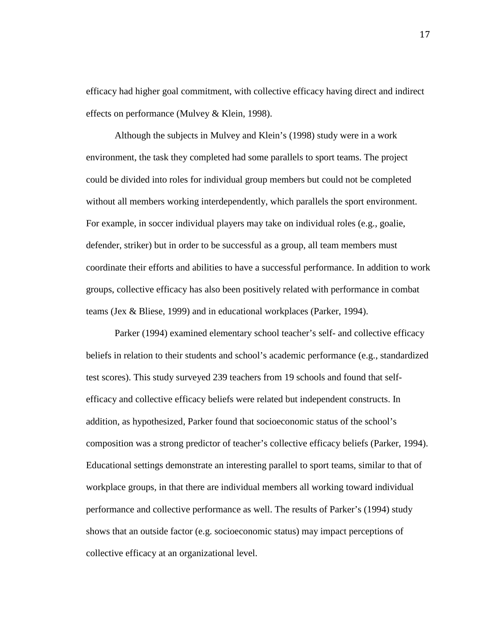efficacy had higher goal commitment, with collective efficacy having direct and indirect effects on performance (Mulvey & Klein, 1998).

Although the subjects in Mulvey and Klein's (1998) study were in a work environment, the task they completed had some parallels to sport teams. The project could be divided into roles for individual group members but could not be completed without all members working interdependently, which parallels the sport environment. For example, in soccer individual players may take on individual roles (e.g., goalie, defender, striker) but in order to be successful as a group, all team members must coordinate their efforts and abilities to have a successful performance. In addition to work groups, collective efficacy has also been positively related with performance in combat teams (Jex & Bliese, 1999) and in educational workplaces (Parker, 1994).

Parker (1994) examined elementary school teacher's self- and collective efficacy beliefs in relation to their students and school's academic performance (e.g., standardized test scores). This study surveyed 239 teachers from 19 schools and found that selfefficacy and collective efficacy beliefs were related but independent constructs. In addition, as hypothesized, Parker found that socioeconomic status of the school's composition was a strong predictor of teacher's collective efficacy beliefs (Parker, 1994). Educational settings demonstrate an interesting parallel to sport teams, similar to that of workplace groups, in that there are individual members all working toward individual performance and collective performance as well. The results of Parker's (1994) study shows that an outside factor (e.g. socioeconomic status) may impact perceptions of collective efficacy at an organizational level.

17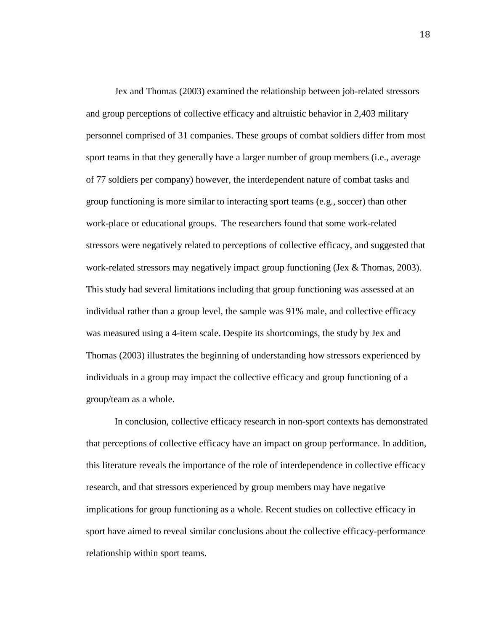Jex and Thomas (2003) examined the relationship between job-related stressors and group perceptions of collective efficacy and altruistic behavior in 2,403 military personnel comprised of 31 companies. These groups of combat soldiers differ from most sport teams in that they generally have a larger number of group members (i.e., average of 77 soldiers per company) however, the interdependent nature of combat tasks and group functioning is more similar to interacting sport teams (e.g., soccer) than other work-place or educational groups. The researchers found that some work-related stressors were negatively related to perceptions of collective efficacy, and suggested that work-related stressors may negatively impact group functioning (Jex & Thomas, 2003). This study had several limitations including that group functioning was assessed at an individual rather than a group level, the sample was 91% male, and collective efficacy was measured using a 4-item scale. Despite its shortcomings, the study by Jex and Thomas (2003) illustrates the beginning of understanding how stressors experienced by individuals in a group may impact the collective efficacy and group functioning of a group/team as a whole.

 In conclusion, collective efficacy research in non-sport contexts has demonstrated that perceptions of collective efficacy have an impact on group performance. In addition, this literature reveals the importance of the role of interdependence in collective efficacy research, and that stressors experienced by group members may have negative implications for group functioning as a whole. Recent studies on collective efficacy in sport have aimed to reveal similar conclusions about the collective efficacy-performance relationship within sport teams.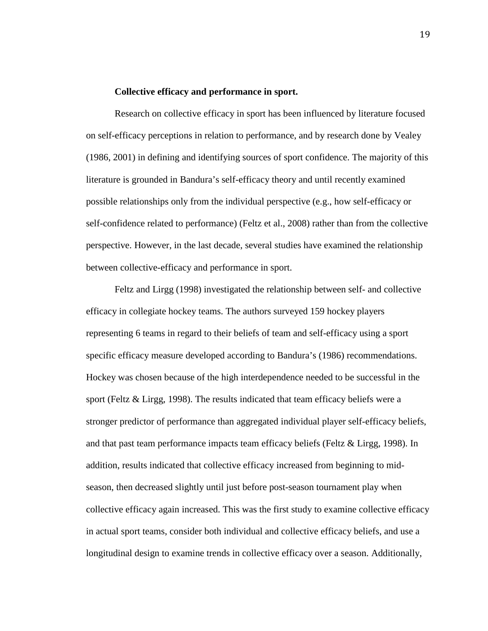#### **Collective efficacy and performance in sport.**

Research on collective efficacy in sport has been influenced by literature focused on self-efficacy perceptions in relation to performance, and by research done by Vealey (1986, 2001) in defining and identifying sources of sport confidence. The majority of this literature is grounded in Bandura's self-efficacy theory and until recently examined possible relationships only from the individual perspective (e.g., how self-efficacy or self-confidence related to performance) (Feltz et al., 2008) rather than from the collective perspective. However, in the last decade, several studies have examined the relationship between collective-efficacy and performance in sport.

 Feltz and Lirgg (1998) investigated the relationship between self- and collective efficacy in collegiate hockey teams. The authors surveyed 159 hockey players representing 6 teams in regard to their beliefs of team and self-efficacy using a sport specific efficacy measure developed according to Bandura's (1986) recommendations. Hockey was chosen because of the high interdependence needed to be successful in the sport (Feltz & Lirgg, 1998). The results indicated that team efficacy beliefs were a stronger predictor of performance than aggregated individual player self-efficacy beliefs, and that past team performance impacts team efficacy beliefs (Feltz & Lirgg, 1998). In addition, results indicated that collective efficacy increased from beginning to midseason, then decreased slightly until just before post-season tournament play when collective efficacy again increased. This was the first study to examine collective efficacy in actual sport teams, consider both individual and collective efficacy beliefs, and use a longitudinal design to examine trends in collective efficacy over a season. Additionally,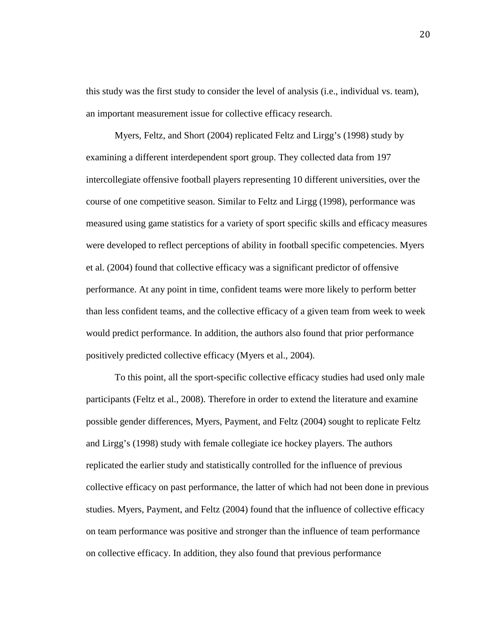this study was the first study to consider the level of analysis (i.e., individual vs. team), an important measurement issue for collective efficacy research.

Myers, Feltz, and Short (2004) replicated Feltz and Lirgg's (1998) study by examining a different interdependent sport group. They collected data from 197 intercollegiate offensive football players representing 10 different universities, over the course of one competitive season. Similar to Feltz and Lirgg (1998), performance was measured using game statistics for a variety of sport specific skills and efficacy measures were developed to reflect perceptions of ability in football specific competencies. Myers et al. (2004) found that collective efficacy was a significant predictor of offensive performance. At any point in time, confident teams were more likely to perform better than less confident teams, and the collective efficacy of a given team from week to week would predict performance. In addition, the authors also found that prior performance positively predicted collective efficacy (Myers et al., 2004).

To this point, all the sport-specific collective efficacy studies had used only male participants (Feltz et al., 2008). Therefore in order to extend the literature and examine possible gender differences, Myers, Payment, and Feltz (2004) sought to replicate Feltz and Lirgg's (1998) study with female collegiate ice hockey players. The authors replicated the earlier study and statistically controlled for the influence of previous collective efficacy on past performance, the latter of which had not been done in previous studies. Myers, Payment, and Feltz (2004) found that the influence of collective efficacy on team performance was positive and stronger than the influence of team performance on collective efficacy. In addition, they also found that previous performance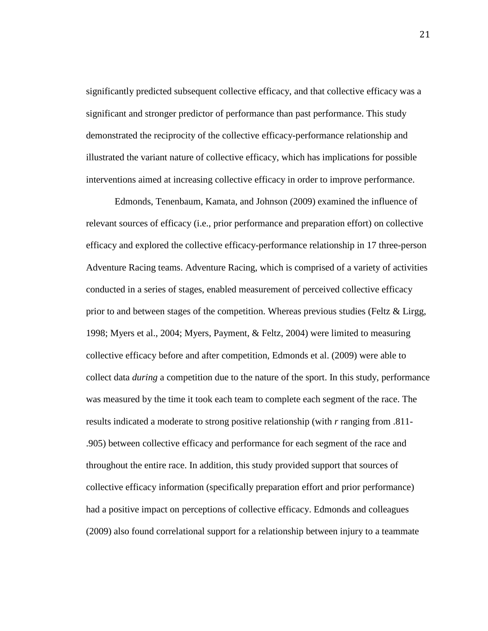significantly predicted subsequent collective efficacy, and that collective efficacy was a significant and stronger predictor of performance than past performance. This study demonstrated the reciprocity of the collective efficacy-performance relationship and illustrated the variant nature of collective efficacy, which has implications for possible interventions aimed at increasing collective efficacy in order to improve performance.

Edmonds, Tenenbaum, Kamata, and Johnson (2009) examined the influence of relevant sources of efficacy (i.e., prior performance and preparation effort) on collective efficacy and explored the collective efficacy-performance relationship in 17 three-person Adventure Racing teams. Adventure Racing, which is comprised of a variety of activities conducted in a series of stages, enabled measurement of perceived collective efficacy prior to and between stages of the competition. Whereas previous studies (Feltz & Lirgg, 1998; Myers et al., 2004; Myers, Payment, & Feltz, 2004) were limited to measuring collective efficacy before and after competition, Edmonds et al. (2009) were able to collect data *during* a competition due to the nature of the sport. In this study, performance was measured by the time it took each team to complete each segment of the race. The results indicated a moderate to strong positive relationship (with *r* ranging from .811- .905) between collective efficacy and performance for each segment of the race and throughout the entire race. In addition, this study provided support that sources of collective efficacy information (specifically preparation effort and prior performance) had a positive impact on perceptions of collective efficacy. Edmonds and colleagues (2009) also found correlational support for a relationship between injury to a teammate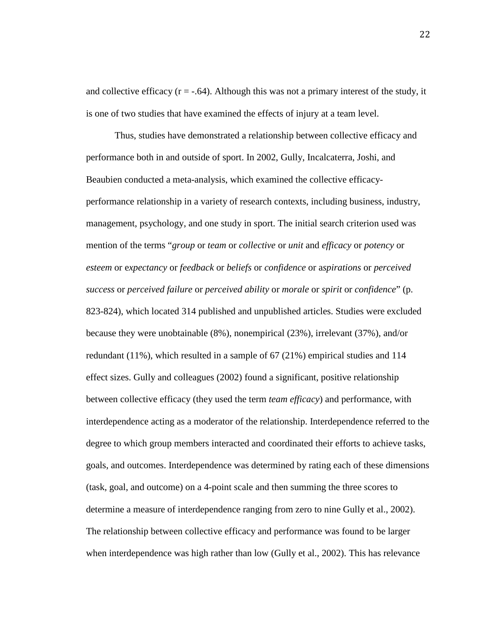and collective efficacy  $(r = -.64)$ . Although this was not a primary interest of the study, it is one of two studies that have examined the effects of injury at a team level.

Thus, studies have demonstrated a relationship between collective efficacy and performance both in and outside of sport. In 2002, Gully, Incalcaterra, Joshi, and Beaubien conducted a meta-analysis, which examined the collective efficacyperformance relationship in a variety of research contexts, including business, industry, management, psychology, and one study in sport. The initial search criterion used was mention of the terms "*group* or *team* or *collective* or *unit* and *efficacy* or *potency* or *esteem* or e*xpectancy* or *feedback* or *beliefs* or *confidence* or a*spirations* or *perceived success* or *perceived failure* or *perceived ability* or *morale* or *spirit* or *confidence*" (p. 823-824), which located 314 published and unpublished articles. Studies were excluded because they were unobtainable (8%), nonempirical (23%), irrelevant (37%), and/or redundant (11%), which resulted in a sample of 67 (21%) empirical studies and 114 effect sizes. Gully and colleagues (2002) found a significant, positive relationship between collective efficacy (they used the term *team efficacy*) and performance, with interdependence acting as a moderator of the relationship. Interdependence referred to the degree to which group members interacted and coordinated their efforts to achieve tasks, goals, and outcomes. Interdependence was determined by rating each of these dimensions (task, goal, and outcome) on a 4-point scale and then summing the three scores to determine a measure of interdependence ranging from zero to nine Gully et al., 2002). The relationship between collective efficacy and performance was found to be larger when interdependence was high rather than low (Gully et al., 2002). This has relevance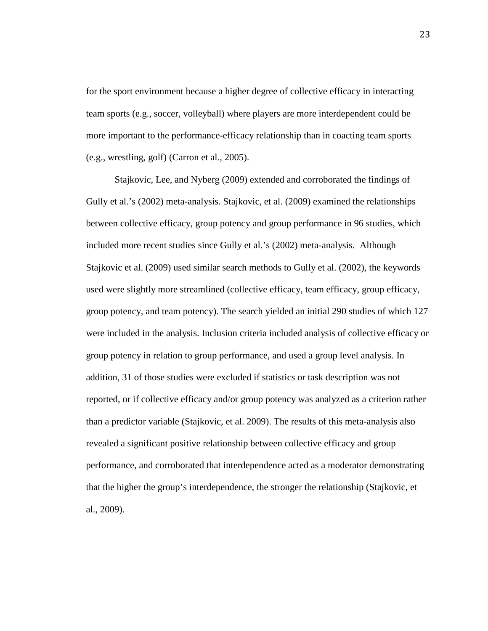for the sport environment because a higher degree of collective efficacy in interacting team sports (e.g., soccer, volleyball) where players are more interdependent could be more important to the performance-efficacy relationship than in coacting team sports (e.g., wrestling, golf) (Carron et al., 2005).

 Stajkovic, Lee, and Nyberg (2009) extended and corroborated the findings of Gully et al.'s (2002) meta-analysis. Stajkovic, et al. (2009) examined the relationships between collective efficacy, group potency and group performance in 96 studies, which included more recent studies since Gully et al.'s (2002) meta-analysis. Although Stajkovic et al. (2009) used similar search methods to Gully et al. (2002), the keywords used were slightly more streamlined (collective efficacy, team efficacy, group efficacy, group potency, and team potency). The search yielded an initial 290 studies of which 127 were included in the analysis. Inclusion criteria included analysis of collective efficacy or group potency in relation to group performance, and used a group level analysis. In addition, 31 of those studies were excluded if statistics or task description was not reported, or if collective efficacy and/or group potency was analyzed as a criterion rather than a predictor variable (Stajkovic, et al. 2009). The results of this meta-analysis also revealed a significant positive relationship between collective efficacy and group performance, and corroborated that interdependence acted as a moderator demonstrating that the higher the group's interdependence, the stronger the relationship (Stajkovic, et al., 2009).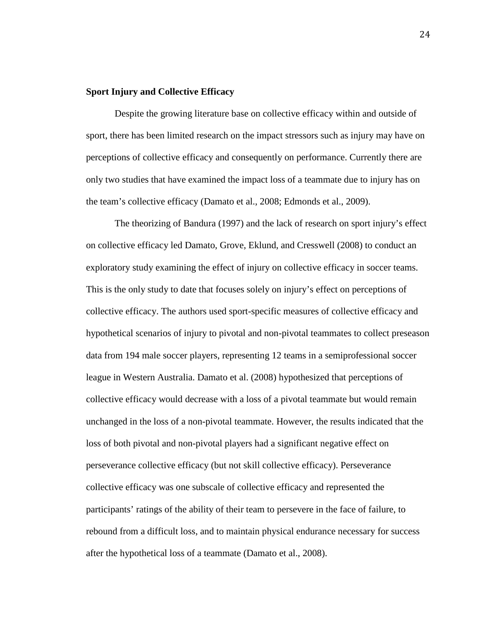## **Sport Injury and Collective Efficacy**

Despite the growing literature base on collective efficacy within and outside of sport, there has been limited research on the impact stressors such as injury may have on perceptions of collective efficacy and consequently on performance. Currently there are only two studies that have examined the impact loss of a teammate due to injury has on the team's collective efficacy (Damato et al., 2008; Edmonds et al., 2009).

The theorizing of Bandura (1997) and the lack of research on sport injury's effect on collective efficacy led Damato, Grove, Eklund, and Cresswell (2008) to conduct an exploratory study examining the effect of injury on collective efficacy in soccer teams. This is the only study to date that focuses solely on injury's effect on perceptions of collective efficacy. The authors used sport-specific measures of collective efficacy and hypothetical scenarios of injury to pivotal and non-pivotal teammates to collect preseason data from 194 male soccer players, representing 12 teams in a semiprofessional soccer league in Western Australia. Damato et al. (2008) hypothesized that perceptions of collective efficacy would decrease with a loss of a pivotal teammate but would remain unchanged in the loss of a non-pivotal teammate. However, the results indicated that the loss of both pivotal and non-pivotal players had a significant negative effect on perseverance collective efficacy (but not skill collective efficacy). Perseverance collective efficacy was one subscale of collective efficacy and represented the participants' ratings of the ability of their team to persevere in the face of failure, to rebound from a difficult loss, and to maintain physical endurance necessary for success after the hypothetical loss of a teammate (Damato et al., 2008).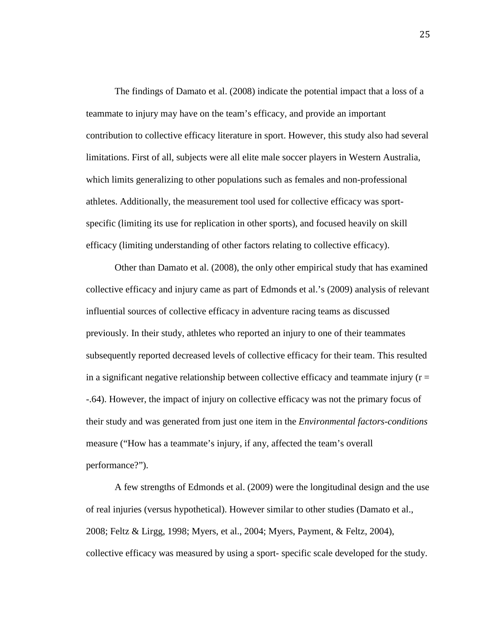The findings of Damato et al. (2008) indicate the potential impact that a loss of a teammate to injury may have on the team's efficacy, and provide an important contribution to collective efficacy literature in sport. However, this study also had several limitations. First of all, subjects were all elite male soccer players in Western Australia, which limits generalizing to other populations such as females and non-professional athletes. Additionally, the measurement tool used for collective efficacy was sportspecific (limiting its use for replication in other sports), and focused heavily on skill efficacy (limiting understanding of other factors relating to collective efficacy).

Other than Damato et al. (2008), the only other empirical study that has examined collective efficacy and injury came as part of Edmonds et al.'s (2009) analysis of relevant influential sources of collective efficacy in adventure racing teams as discussed previously. In their study, athletes who reported an injury to one of their teammates subsequently reported decreased levels of collective efficacy for their team. This resulted in a significant negative relationship between collective efficacy and teammate injury ( $r =$ -.64). However, the impact of injury on collective efficacy was not the primary focus of their study and was generated from just one item in the *Environmental factors-conditions* measure ("How has a teammate's injury, if any, affected the team's overall performance?").

A few strengths of Edmonds et al. (2009) were the longitudinal design and the use of real injuries (versus hypothetical). However similar to other studies (Damato et al., 2008; Feltz & Lirgg, 1998; Myers, et al., 2004; Myers, Payment, & Feltz, 2004), collective efficacy was measured by using a sport- specific scale developed for the study.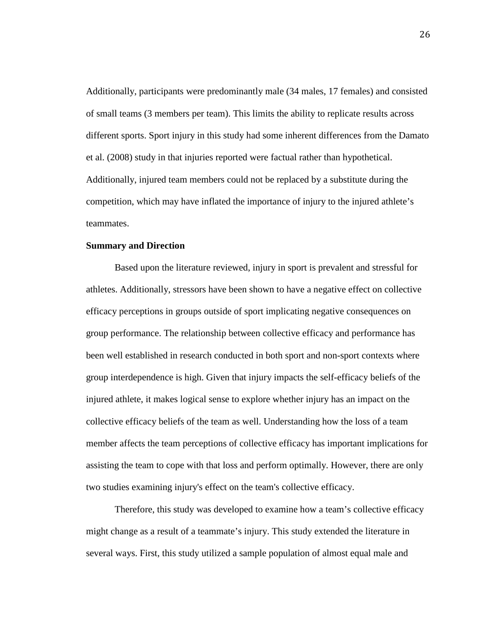Additionally, participants were predominantly male (34 males, 17 females) and consisted of small teams (3 members per team). This limits the ability to replicate results across different sports. Sport injury in this study had some inherent differences from the Damato et al. (2008) study in that injuries reported were factual rather than hypothetical. Additionally, injured team members could not be replaced by a substitute during the competition, which may have inflated the importance of injury to the injured athlete's teammates.

#### **Summary and Direction**

Based upon the literature reviewed, injury in sport is prevalent and stressful for athletes. Additionally, stressors have been shown to have a negative effect on collective efficacy perceptions in groups outside of sport implicating negative consequences on group performance. The relationship between collective efficacy and performance has been well established in research conducted in both sport and non-sport contexts where group interdependence is high. Given that injury impacts the self-efficacy beliefs of the injured athlete, it makes logical sense to explore whether injury has an impact on the collective efficacy beliefs of the team as well. Understanding how the loss of a team member affects the team perceptions of collective efficacy has important implications for assisting the team to cope with that loss and perform optimally. However, there are only two studies examining injury's effect on the team's collective efficacy.

Therefore, this study was developed to examine how a team's collective efficacy might change as a result of a teammate's injury. This study extended the literature in several ways. First, this study utilized a sample population of almost equal male and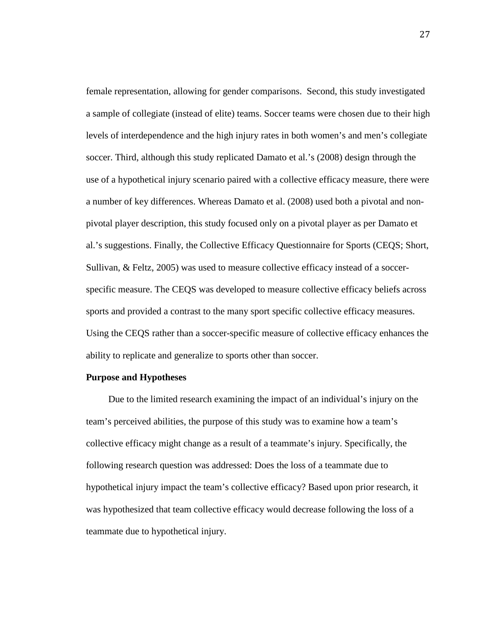female representation, allowing for gender comparisons. Second, this study investigated a sample of collegiate (instead of elite) teams. Soccer teams were chosen due to their high levels of interdependence and the high injury rates in both women's and men's collegiate soccer. Third, although this study replicated Damato et al.'s (2008) design through the use of a hypothetical injury scenario paired with a collective efficacy measure, there were a number of key differences. Whereas Damato et al. (2008) used both a pivotal and nonpivotal player description, this study focused only on a pivotal player as per Damato et al.'s suggestions. Finally, the Collective Efficacy Questionnaire for Sports (CEQS; Short, Sullivan, & Feltz, 2005) was used to measure collective efficacy instead of a soccerspecific measure. The CEQS was developed to measure collective efficacy beliefs across sports and provided a contrast to the many sport specific collective efficacy measures. Using the CEQS rather than a soccer-specific measure of collective efficacy enhances the ability to replicate and generalize to sports other than soccer.

#### **Purpose and Hypotheses**

 Due to the limited research examining the impact of an individual's injury on the team's perceived abilities, the purpose of this study was to examine how a team's collective efficacy might change as a result of a teammate's injury. Specifically, the following research question was addressed: Does the loss of a teammate due to hypothetical injury impact the team's collective efficacy? Based upon prior research, it was hypothesized that team collective efficacy would decrease following the loss of a teammate due to hypothetical injury.

27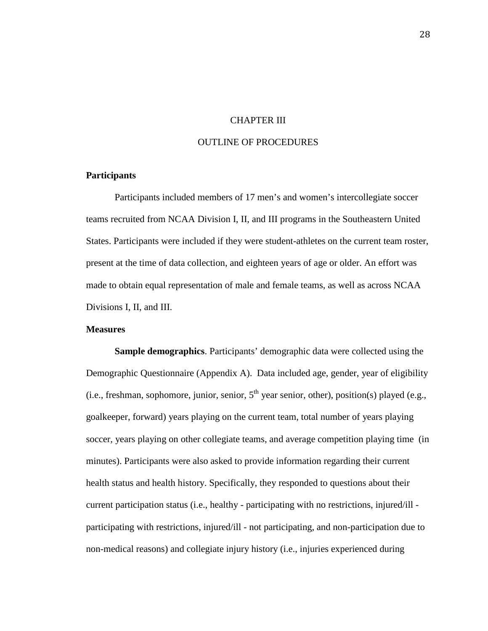## CHAPTER III

## OUTLINE OF PROCEDURES

## **Participants**

 Participants included members of 17 men's and women's intercollegiate soccer teams recruited from NCAA Division I, II, and III programs in the Southeastern United States. Participants were included if they were student-athletes on the current team roster, present at the time of data collection, and eighteen years of age or older. An effort was made to obtain equal representation of male and female teams, as well as across NCAA Divisions I, II, and III.

#### **Measures**

**Sample demographics**. Participants' demographic data were collected using the Demographic Questionnaire (Appendix A). Data included age, gender, year of eligibility (i.e., freshman, sophomore, junior, senior,  $5<sup>th</sup>$  year senior, other), position(s) played (e.g., goalkeeper, forward) years playing on the current team, total number of years playing soccer, years playing on other collegiate teams, and average competition playing time (in minutes). Participants were also asked to provide information regarding their current health status and health history. Specifically, they responded to questions about their current participation status (i.e., healthy - participating with no restrictions, injured/ill participating with restrictions, injured/ill - not participating, and non-participation due to non-medical reasons) and collegiate injury history (i.e., injuries experienced during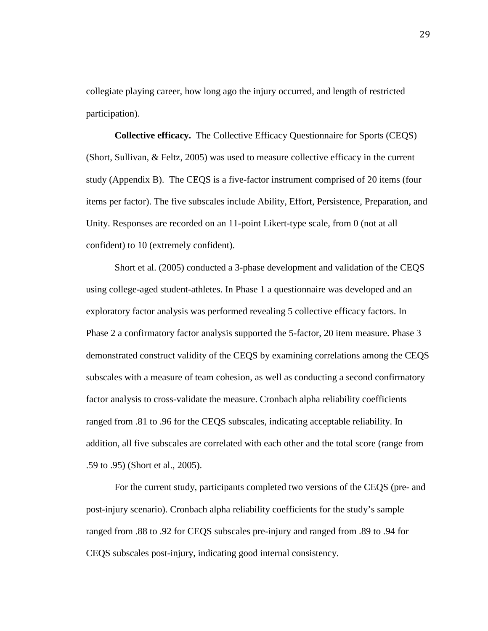collegiate playing career, how long ago the injury occurred, and length of restricted participation).

**Collective efficacy.** The Collective Efficacy Questionnaire for Sports (CEQS) (Short, Sullivan, & Feltz, 2005) was used to measure collective efficacy in the current study (Appendix B). The CEQS is a five-factor instrument comprised of 20 items (four items per factor). The five subscales include Ability, Effort, Persistence, Preparation, and Unity. Responses are recorded on an 11-point Likert-type scale, from 0 (not at all confident) to 10 (extremely confident).

Short et al. (2005) conducted a 3-phase development and validation of the CEQS using college-aged student-athletes. In Phase 1 a questionnaire was developed and an exploratory factor analysis was performed revealing 5 collective efficacy factors. In Phase 2 a confirmatory factor analysis supported the 5-factor, 20 item measure. Phase 3 demonstrated construct validity of the CEQS by examining correlations among the CEQS subscales with a measure of team cohesion, as well as conducting a second confirmatory factor analysis to cross-validate the measure. Cronbach alpha reliability coefficients ranged from .81 to .96 for the CEQS subscales, indicating acceptable reliability. In addition, all five subscales are correlated with each other and the total score (range from .59 to .95) (Short et al., 2005).

For the current study, participants completed two versions of the CEQS (pre- and post-injury scenario). Cronbach alpha reliability coefficients for the study's sample ranged from .88 to .92 for CEQS subscales pre-injury and ranged from .89 to .94 for CEQS subscales post-injury, indicating good internal consistency.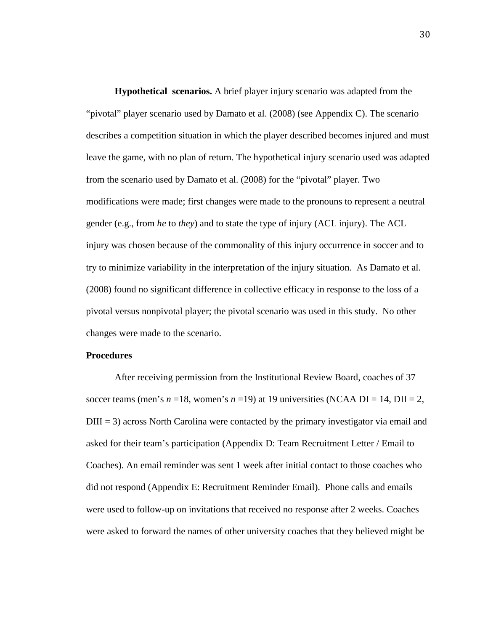**Hypothetical scenarios.** A brief player injury scenario was adapted from the "pivotal" player scenario used by Damato et al. (2008) (see Appendix C). The scenario describes a competition situation in which the player described becomes injured and must leave the game, with no plan of return. The hypothetical injury scenario used was adapted from the scenario used by Damato et al. (2008) for the "pivotal" player. Two modifications were made; first changes were made to the pronouns to represent a neutral gender (e.g., from *he* to *they*) and to state the type of injury (ACL injury). The ACL injury was chosen because of the commonality of this injury occurrence in soccer and to try to minimize variability in the interpretation of the injury situation. As Damato et al. (2008) found no significant difference in collective efficacy in response to the loss of a pivotal versus nonpivotal player; the pivotal scenario was used in this study. No other changes were made to the scenario.

## **Procedures**

After receiving permission from the Institutional Review Board, coaches of 37 soccer teams (men's  $n = 18$ , women's  $n = 19$ ) at 19 universities (NCAA DI = 14, DII = 2,  $DIII = 3$ ) across North Carolina were contacted by the primary investigator via email and asked for their team's participation (Appendix D: Team Recruitment Letter / Email to Coaches). An email reminder was sent 1 week after initial contact to those coaches who did not respond (Appendix E: Recruitment Reminder Email). Phone calls and emails were used to follow-up on invitations that received no response after 2 weeks. Coaches were asked to forward the names of other university coaches that they believed might be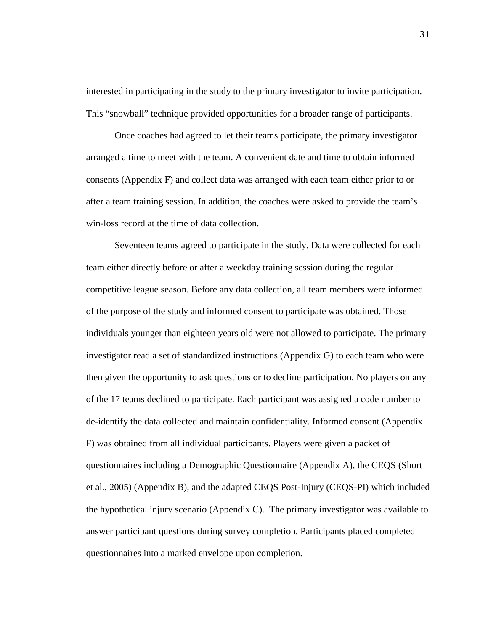interested in participating in the study to the primary investigator to invite participation. This "snowball" technique provided opportunities for a broader range of participants.

Once coaches had agreed to let their teams participate, the primary investigator arranged a time to meet with the team. A convenient date and time to obtain informed consents (Appendix F) and collect data was arranged with each team either prior to or after a team training session. In addition, the coaches were asked to provide the team's win-loss record at the time of data collection.

Seventeen teams agreed to participate in the study. Data were collected for each team either directly before or after a weekday training session during the regular competitive league season. Before any data collection, all team members were informed of the purpose of the study and informed consent to participate was obtained. Those individuals younger than eighteen years old were not allowed to participate. The primary investigator read a set of standardized instructions (Appendix G) to each team who were then given the opportunity to ask questions or to decline participation. No players on any of the 17 teams declined to participate. Each participant was assigned a code number to de-identify the data collected and maintain confidentiality. Informed consent (Appendix F) was obtained from all individual participants. Players were given a packet of questionnaires including a Demographic Questionnaire (Appendix A), the CEQS (Short et al., 2005) (Appendix B), and the adapted CEQS Post-Injury (CEQS-PI) which included the hypothetical injury scenario (Appendix C). The primary investigator was available to answer participant questions during survey completion. Participants placed completed questionnaires into a marked envelope upon completion.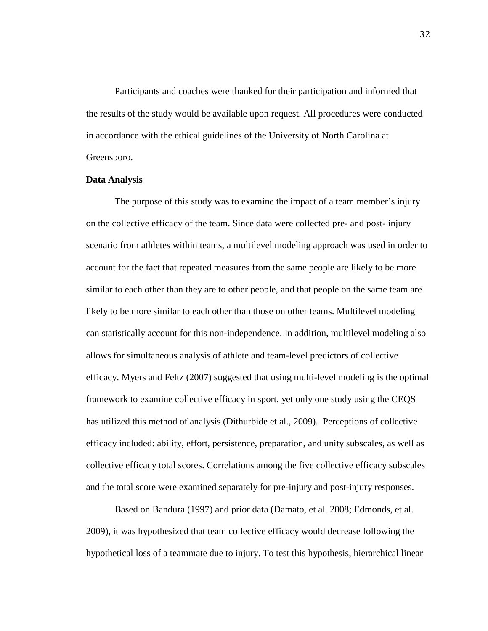Participants and coaches were thanked for their participation and informed that the results of the study would be available upon request. All procedures were conducted in accordance with the ethical guidelines of the University of North Carolina at Greensboro.

#### **Data Analysis**

The purpose of this study was to examine the impact of a team member's injury on the collective efficacy of the team. Since data were collected pre- and post- injury scenario from athletes within teams, a multilevel modeling approach was used in order to account for the fact that repeated measures from the same people are likely to be more similar to each other than they are to other people, and that people on the same team are likely to be more similar to each other than those on other teams. Multilevel modeling can statistically account for this non-independence. In addition, multilevel modeling also allows for simultaneous analysis of athlete and team-level predictors of collective efficacy. Myers and Feltz (2007) suggested that using multi-level modeling is the optimal framework to examine collective efficacy in sport, yet only one study using the CEQS has utilized this method of analysis (Dithurbide et al., 2009). Perceptions of collective efficacy included: ability, effort, persistence, preparation, and unity subscales, as well as collective efficacy total scores. Correlations among the five collective efficacy subscales and the total score were examined separately for pre-injury and post-injury responses.

Based on Bandura (1997) and prior data (Damato, et al. 2008; Edmonds, et al. 2009), it was hypothesized that team collective efficacy would decrease following the hypothetical loss of a teammate due to injury. To test this hypothesis, hierarchical linear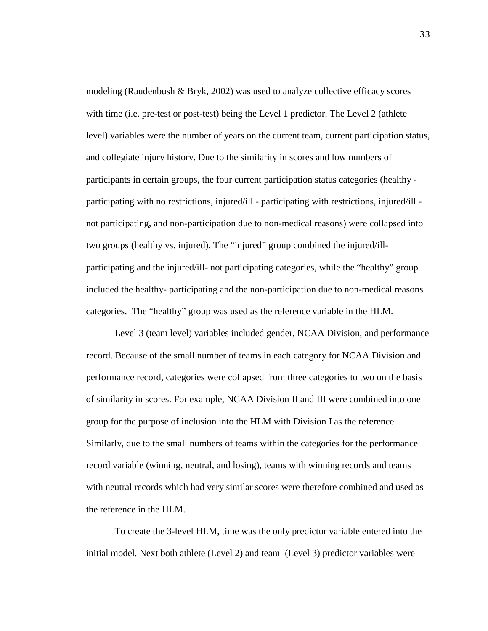modeling (Raudenbush & Bryk, 2002) was used to analyze collective efficacy scores with time (i.e. pre-test or post-test) being the Level 1 predictor. The Level 2 (athlete level) variables were the number of years on the current team, current participation status, and collegiate injury history. Due to the similarity in scores and low numbers of participants in certain groups, the four current participation status categories (healthy participating with no restrictions, injured/ill - participating with restrictions, injured/ill not participating, and non-participation due to non-medical reasons) were collapsed into two groups (healthy vs. injured). The "injured" group combined the injured/illparticipating and the injured/ill- not participating categories, while the "healthy" group included the healthy- participating and the non-participation due to non-medical reasons categories. The "healthy" group was used as the reference variable in the HLM.

Level 3 (team level) variables included gender, NCAA Division, and performance record. Because of the small number of teams in each category for NCAA Division and performance record, categories were collapsed from three categories to two on the basis of similarity in scores. For example, NCAA Division II and III were combined into one group for the purpose of inclusion into the HLM with Division I as the reference. Similarly, due to the small numbers of teams within the categories for the performance record variable (winning, neutral, and losing), teams with winning records and teams with neutral records which had very similar scores were therefore combined and used as the reference in the HLM.

To create the 3-level HLM, time was the only predictor variable entered into the initial model. Next both athlete (Level 2) and team (Level 3) predictor variables were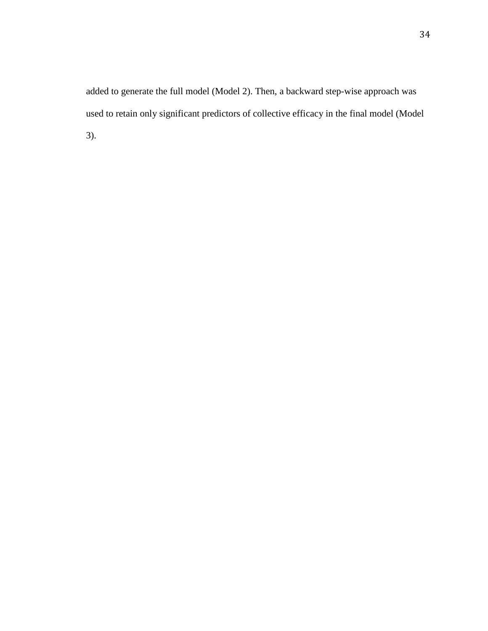added to generate the full model (Model 2). Then, a backward step-wise approach was used to retain only significant predictors of collective efficacy in the final model (Model 3).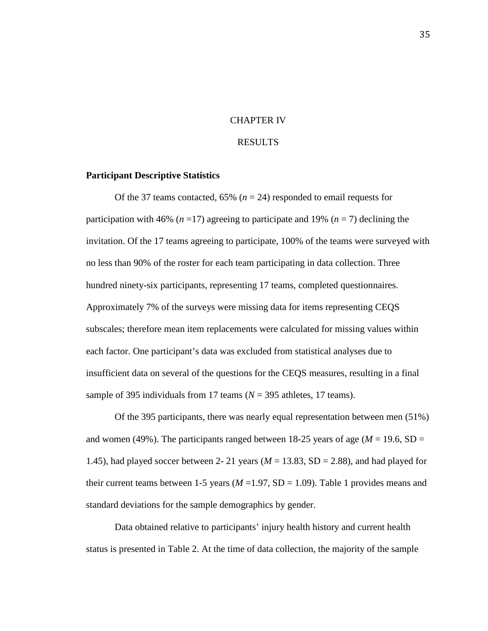## CHAPTER IV

#### RESULTS

### **Participant Descriptive Statistics**

Of the 37 teams contacted,  $65\%$  ( $n = 24$ ) responded to email requests for participation with 46% ( $n = 17$ ) agreeing to participate and 19% ( $n = 7$ ) declining the invitation. Of the 17 teams agreeing to participate, 100% of the teams were surveyed with no less than 90% of the roster for each team participating in data collection. Three hundred ninety-six participants, representing 17 teams, completed questionnaires. Approximately 7% of the surveys were missing data for items representing CEQS subscales; therefore mean item replacements were calculated for missing values within each factor. One participant's data was excluded from statistical analyses due to insufficient data on several of the questions for the CEQS measures, resulting in a final sample of 395 individuals from 17 teams (*N* = 395 athletes, 17 teams).

Of the 395 participants, there was nearly equal representation between men (51%) and women (49%). The participants ranged between 18-25 years of age ( $M = 19.6$ , SD = 1.45), had played soccer between 2- 21 years ( $M = 13.83$ , SD = 2.88), and had played for their current teams between 1-5 years  $(M=1.97, SD=1.09)$ . Table 1 provides means and standard deviations for the sample demographics by gender.

Data obtained relative to participants' injury health history and current health status is presented in Table 2. At the time of data collection, the majority of the sample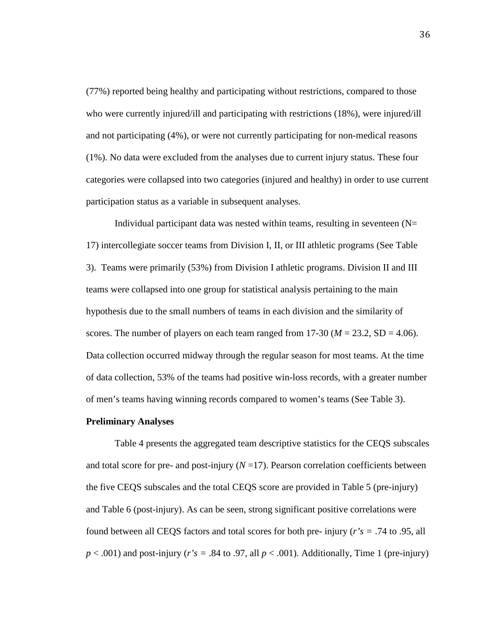(77%) reported being healthy and participating without restrictions, compared to those who were currently injured/ill and participating with restrictions (18%), were injured/ill and not participating (4%), or were not currently participating for non-medical reasons (1%). No data were excluded from the analyses due to current injury status. These four categories were collapsed into two categories (injured and healthy) in order to use current participation status as a variable in subsequent analyses.

Individual participant data was nested within teams, resulting in seventeen  $(N=$ 17) intercollegiate soccer teams from Division I, II, or III athletic programs (See Table 3). Teams were primarily (53%) from Division I athletic programs. Division II and III teams were collapsed into one group for statistical analysis pertaining to the main hypothesis due to the small numbers of teams in each division and the similarity of scores. The number of players on each team ranged from  $17-30$  ( $M = 23.2$ , SD = 4.06). Data collection occurred midway through the regular season for most teams. At the time of data collection, 53% of the teams had positive win-loss records, with a greater number of men's teams having winning records compared to women's teams (See Table 3).

#### **Preliminary Analyses**

Table 4 presents the aggregated team descriptive statistics for the CEQS subscales and total score for pre- and post-injury  $(N=17)$ . Pearson correlation coefficients between the five CEQS subscales and the total CEQS score are provided in Table 5 (pre-injury) and Table 6 (post-injury). As can be seen, strong significant positive correlations were found between all CEQS factors and total scores for both pre- injury (*r's =* .74 to .95, all  $p < .001$ ) and post-injury (*r*'s = .84 to .97, all  $p < .001$ ). Additionally, Time 1 (pre-injury)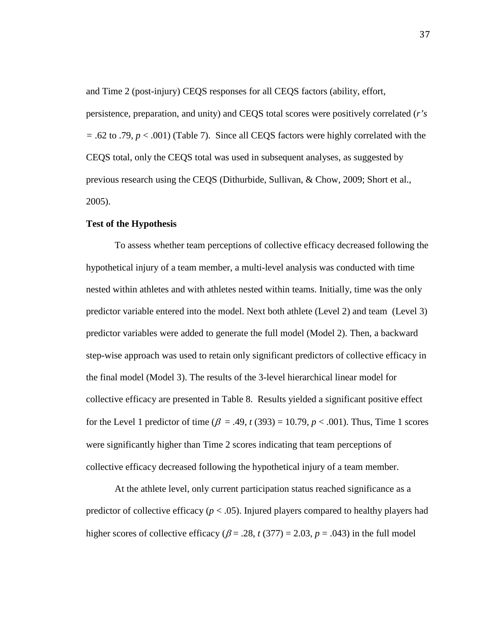and Time 2 (post-injury) CEQS responses for all CEQS factors (ability, effort,

persistence, preparation, and unity) and CEQS total scores were positively correlated (*r's =* .62 to .79, *p* < .001) (Table 7). Since all CEQS factors were highly correlated with the CEQS total, only the CEQS total was used in subsequent analyses, as suggested by previous research using the CEQS (Dithurbide, Sullivan, & Chow, 2009; Short et al., 2005).

## **Test of the Hypothesis**

To assess whether team perceptions of collective efficacy decreased following the hypothetical injury of a team member, a multi-level analysis was conducted with time nested within athletes and with athletes nested within teams. Initially, time was the only predictor variable entered into the model. Next both athlete (Level 2) and team (Level 3) predictor variables were added to generate the full model (Model 2). Then, a backward step-wise approach was used to retain only significant predictors of collective efficacy in the final model (Model 3). The results of the 3-level hierarchical linear model for collective efficacy are presented in Table 8. Results yielded a significant positive effect for the Level 1 predictor of time ( $\beta = .49$ ,  $t(393) = 10.79$ ,  $p < .001$ ). Thus, Time 1 scores were significantly higher than Time 2 scores indicating that team perceptions of collective efficacy decreased following the hypothetical injury of a team member.

At the athlete level, only current participation status reached significance as a predictor of collective efficacy ( $p < .05$ ). Injured players compared to healthy players had higher scores of collective efficacy ( $\beta$  = .28, *t* (377) = 2.03, *p* = .043) in the full model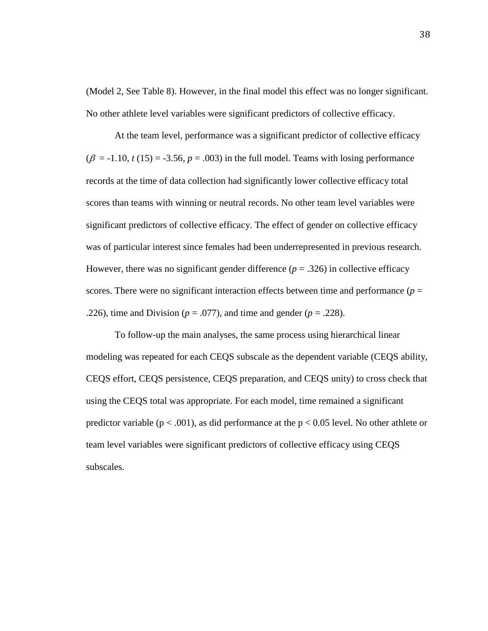(Model 2, See Table 8). However, in the final model this effect was no longer significant. No other athlete level variables were significant predictors of collective efficacy.

At the team level, performance was a significant predictor of collective efficacy  $(\beta = -1.10, t(15) = -3.56, p = .003)$  in the full model. Teams with losing performance records at the time of data collection had significantly lower collective efficacy total scores than teams with winning or neutral records. No other team level variables were significant predictors of collective efficacy. The effect of gender on collective efficacy was of particular interest since females had been underrepresented in previous research. However, there was no significant gender difference  $(p = .326)$  in collective efficacy scores. There were no significant interaction effects between time and performance  $(p =$ .226), time and Division ( $p = .077$ ), and time and gender ( $p = .228$ ).

To follow-up the main analyses, the same process using hierarchical linear modeling was repeated for each CEQS subscale as the dependent variable (CEQS ability, CEQS effort, CEQS persistence, CEQS preparation, and CEQS unity) to cross check that using the CEQS total was appropriate. For each model, time remained a significant predictor variable ( $p < .001$ ), as did performance at the  $p < 0.05$  level. No other athlete or team level variables were significant predictors of collective efficacy using CEQS subscales.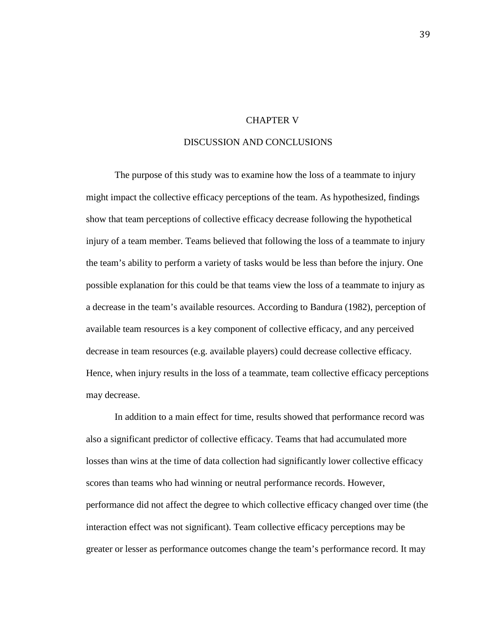## CHAPTER V

## DISCUSSION AND CONCLUSIONS

The purpose of this study was to examine how the loss of a teammate to injury might impact the collective efficacy perceptions of the team. As hypothesized, findings show that team perceptions of collective efficacy decrease following the hypothetical injury of a team member. Teams believed that following the loss of a teammate to injury the team's ability to perform a variety of tasks would be less than before the injury. One possible explanation for this could be that teams view the loss of a teammate to injury as a decrease in the team's available resources. According to Bandura (1982), perception of available team resources is a key component of collective efficacy, and any perceived decrease in team resources (e.g. available players) could decrease collective efficacy. Hence, when injury results in the loss of a teammate, team collective efficacy perceptions may decrease.

In addition to a main effect for time, results showed that performance record was also a significant predictor of collective efficacy. Teams that had accumulated more losses than wins at the time of data collection had significantly lower collective efficacy scores than teams who had winning or neutral performance records. However, performance did not affect the degree to which collective efficacy changed over time (the interaction effect was not significant). Team collective efficacy perceptions may be greater or lesser as performance outcomes change the team's performance record. It may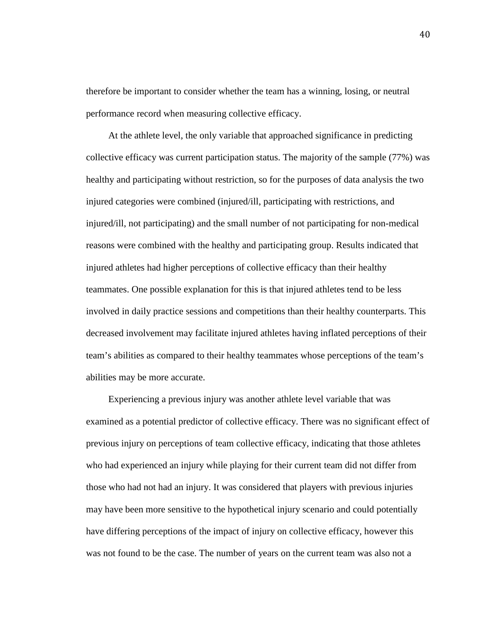therefore be important to consider whether the team has a winning, losing, or neutral performance record when measuring collective efficacy.

 At the athlete level, the only variable that approached significance in predicting collective efficacy was current participation status. The majority of the sample (77%) was healthy and participating without restriction, so for the purposes of data analysis the two injured categories were combined (injured/ill, participating with restrictions, and injured/ill, not participating) and the small number of not participating for non-medical reasons were combined with the healthy and participating group. Results indicated that injured athletes had higher perceptions of collective efficacy than their healthy teammates. One possible explanation for this is that injured athletes tend to be less involved in daily practice sessions and competitions than their healthy counterparts. This decreased involvement may facilitate injured athletes having inflated perceptions of their team's abilities as compared to their healthy teammates whose perceptions of the team's abilities may be more accurate.

 Experiencing a previous injury was another athlete level variable that was examined as a potential predictor of collective efficacy. There was no significant effect of previous injury on perceptions of team collective efficacy, indicating that those athletes who had experienced an injury while playing for their current team did not differ from those who had not had an injury. It was considered that players with previous injuries may have been more sensitive to the hypothetical injury scenario and could potentially have differing perceptions of the impact of injury on collective efficacy, however this was not found to be the case. The number of years on the current team was also not a

40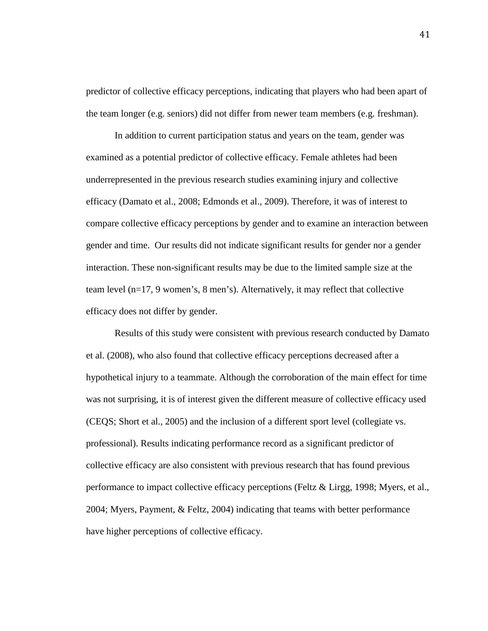predictor of collective efficacy perceptions, indicating that players who had been apart of the team longer (e.g. seniors) did not differ from newer team members (e.g. freshman).

In addition to current participation status and years on the team, gender was examined as a potential predictor of collective efficacy. Female athletes had been underrepresented in the previous research studies examining injury and collective efficacy (Damato et al., 2008; Edmonds et al., 2009). Therefore, it was of interest to compare collective efficacy perceptions by gender and to examine an interaction between gender and time. Our results did not indicate significant results for gender nor a gender interaction. These non-significant results may be due to the limited sample size at the team level (n=17, 9 women's, 8 men's). Alternatively, it may reflect that collective efficacy does not differ by gender.

Results of this study were consistent with previous research conducted by Damato et al. (2008), who also found that collective efficacy perceptions decreased after a hypothetical injury to a teammate. Although the corroboration of the main effect for time was not surprising, it is of interest given the different measure of collective efficacy used (CEQS; Short et al., 2005) and the inclusion of a different sport level (collegiate vs. professional). Results indicating performance record as a significant predictor of collective efficacy are also consistent with previous research that has found previous performance to impact collective efficacy perceptions (Feltz & Lirgg, 1998; Myers, et al., 2004; Myers, Payment, & Feltz, 2004) indicating that teams with better performance have higher perceptions of collective efficacy.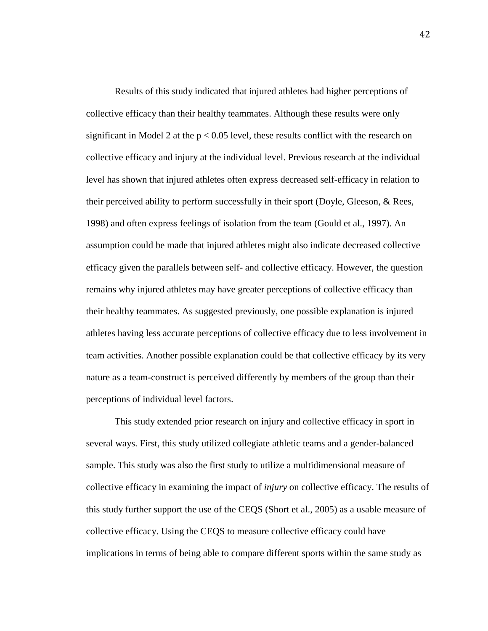Results of this study indicated that injured athletes had higher perceptions of collective efficacy than their healthy teammates. Although these results were only significant in Model 2 at the  $p < 0.05$  level, these results conflict with the research on collective efficacy and injury at the individual level. Previous research at the individual level has shown that injured athletes often express decreased self-efficacy in relation to their perceived ability to perform successfully in their sport (Doyle, Gleeson, & Rees, 1998) and often express feelings of isolation from the team (Gould et al., 1997). An assumption could be made that injured athletes might also indicate decreased collective efficacy given the parallels between self- and collective efficacy. However, the question remains why injured athletes may have greater perceptions of collective efficacy than their healthy teammates. As suggested previously, one possible explanation is injured athletes having less accurate perceptions of collective efficacy due to less involvement in team activities. Another possible explanation could be that collective efficacy by its very nature as a team-construct is perceived differently by members of the group than their perceptions of individual level factors.

This study extended prior research on injury and collective efficacy in sport in several ways. First, this study utilized collegiate athletic teams and a gender-balanced sample. This study was also the first study to utilize a multidimensional measure of collective efficacy in examining the impact of *injury* on collective efficacy. The results of this study further support the use of the CEQS (Short et al., 2005) as a usable measure of collective efficacy. Using the CEQS to measure collective efficacy could have implications in terms of being able to compare different sports within the same study as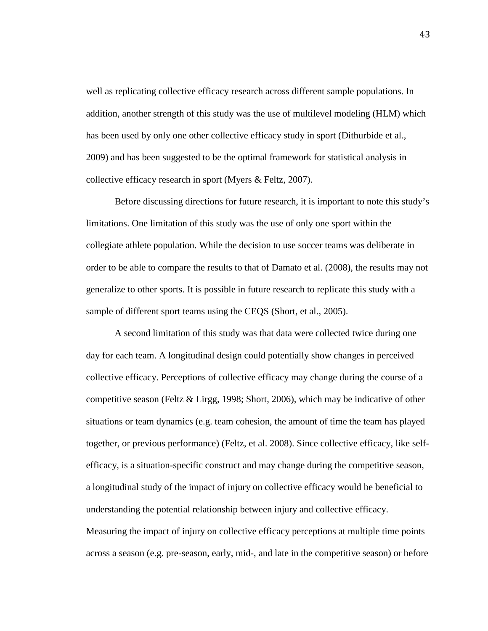well as replicating collective efficacy research across different sample populations. In addition, another strength of this study was the use of multilevel modeling (HLM) which has been used by only one other collective efficacy study in sport (Dithurbide et al., 2009) and has been suggested to be the optimal framework for statistical analysis in collective efficacy research in sport (Myers & Feltz, 2007).

Before discussing directions for future research, it is important to note this study's limitations. One limitation of this study was the use of only one sport within the collegiate athlete population. While the decision to use soccer teams was deliberate in order to be able to compare the results to that of Damato et al. (2008), the results may not generalize to other sports. It is possible in future research to replicate this study with a sample of different sport teams using the CEQS (Short, et al., 2005).

A second limitation of this study was that data were collected twice during one day for each team. A longitudinal design could potentially show changes in perceived collective efficacy. Perceptions of collective efficacy may change during the course of a competitive season (Feltz & Lirgg, 1998; Short, 2006), which may be indicative of other situations or team dynamics (e.g. team cohesion, the amount of time the team has played together, or previous performance) (Feltz, et al. 2008). Since collective efficacy, like selfefficacy, is a situation-specific construct and may change during the competitive season, a longitudinal study of the impact of injury on collective efficacy would be beneficial to understanding the potential relationship between injury and collective efficacy. Measuring the impact of injury on collective efficacy perceptions at multiple time points across a season (e.g. pre-season, early, mid-, and late in the competitive season) or before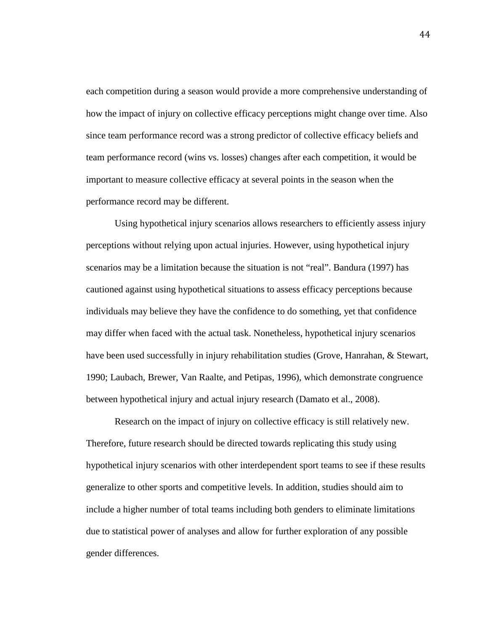each competition during a season would provide a more comprehensive understanding of how the impact of injury on collective efficacy perceptions might change over time. Also since team performance record was a strong predictor of collective efficacy beliefs and team performance record (wins vs. losses) changes after each competition, it would be important to measure collective efficacy at several points in the season when the performance record may be different.

Using hypothetical injury scenarios allows researchers to efficiently assess injury perceptions without relying upon actual injuries. However, using hypothetical injury scenarios may be a limitation because the situation is not "real". Bandura (1997) has cautioned against using hypothetical situations to assess efficacy perceptions because individuals may believe they have the confidence to do something, yet that confidence may differ when faced with the actual task. Nonetheless, hypothetical injury scenarios have been used successfully in injury rehabilitation studies (Grove, Hanrahan, & Stewart, 1990; Laubach, Brewer, Van Raalte, and Petipas, 1996), which demonstrate congruence between hypothetical injury and actual injury research (Damato et al., 2008).

Research on the impact of injury on collective efficacy is still relatively new. Therefore, future research should be directed towards replicating this study using hypothetical injury scenarios with other interdependent sport teams to see if these results generalize to other sports and competitive levels. In addition, studies should aim to include a higher number of total teams including both genders to eliminate limitations due to statistical power of analyses and allow for further exploration of any possible gender differences.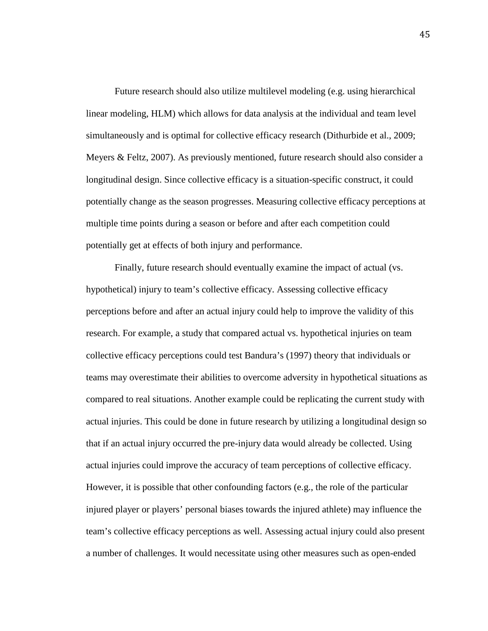Future research should also utilize multilevel modeling (e.g. using hierarchical linear modeling, HLM) which allows for data analysis at the individual and team level simultaneously and is optimal for collective efficacy research (Dithurbide et al., 2009; Meyers & Feltz, 2007). As previously mentioned, future research should also consider a longitudinal design. Since collective efficacy is a situation-specific construct, it could potentially change as the season progresses. Measuring collective efficacy perceptions at multiple time points during a season or before and after each competition could potentially get at effects of both injury and performance.

Finally, future research should eventually examine the impact of actual (vs. hypothetical) injury to team's collective efficacy. Assessing collective efficacy perceptions before and after an actual injury could help to improve the validity of this research. For example, a study that compared actual vs. hypothetical injuries on team collective efficacy perceptions could test Bandura's (1997) theory that individuals or teams may overestimate their abilities to overcome adversity in hypothetical situations as compared to real situations. Another example could be replicating the current study with actual injuries. This could be done in future research by utilizing a longitudinal design so that if an actual injury occurred the pre-injury data would already be collected. Using actual injuries could improve the accuracy of team perceptions of collective efficacy. However, it is possible that other confounding factors (e.g., the role of the particular injured player or players' personal biases towards the injured athlete) may influence the team's collective efficacy perceptions as well. Assessing actual injury could also present a number of challenges. It would necessitate using other measures such as open-ended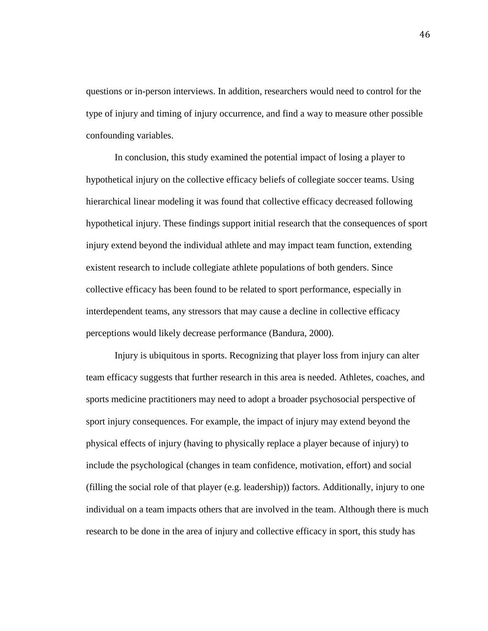questions or in-person interviews. In addition, researchers would need to control for the type of injury and timing of injury occurrence, and find a way to measure other possible confounding variables.

In conclusion, this study examined the potential impact of losing a player to hypothetical injury on the collective efficacy beliefs of collegiate soccer teams. Using hierarchical linear modeling it was found that collective efficacy decreased following hypothetical injury. These findings support initial research that the consequences of sport injury extend beyond the individual athlete and may impact team function, extending existent research to include collegiate athlete populations of both genders. Since collective efficacy has been found to be related to sport performance, especially in interdependent teams, any stressors that may cause a decline in collective efficacy perceptions would likely decrease performance (Bandura, 2000).

Injury is ubiquitous in sports. Recognizing that player loss from injury can alter team efficacy suggests that further research in this area is needed. Athletes, coaches, and sports medicine practitioners may need to adopt a broader psychosocial perspective of sport injury consequences. For example, the impact of injury may extend beyond the physical effects of injury (having to physically replace a player because of injury) to include the psychological (changes in team confidence, motivation, effort) and social (filling the social role of that player (e.g. leadership)) factors. Additionally, injury to one individual on a team impacts others that are involved in the team. Although there is much research to be done in the area of injury and collective efficacy in sport, this study has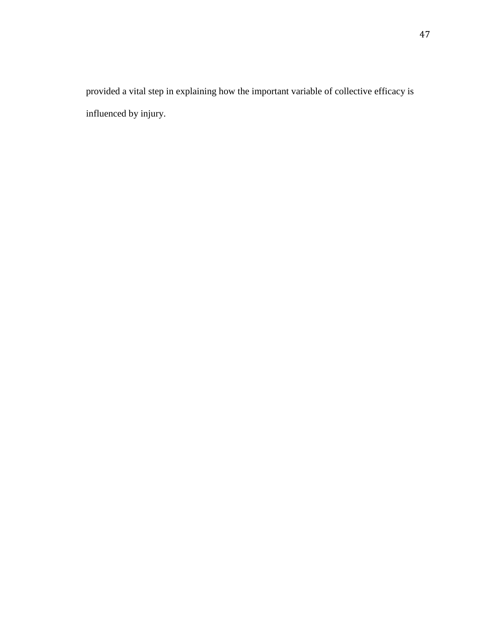provided a vital step in explaining how the important variable of collective efficacy is influenced by injury.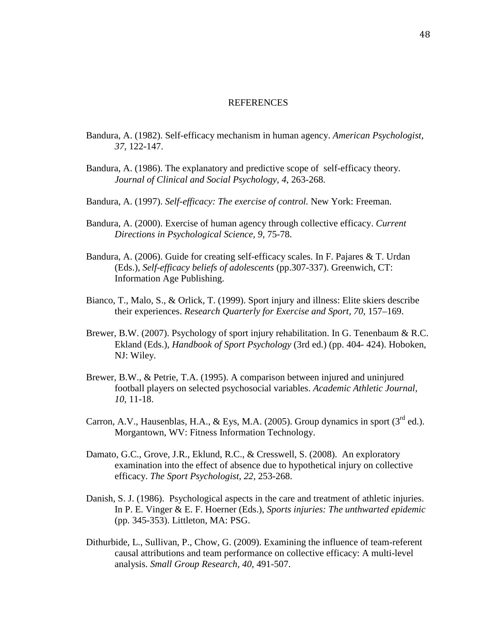#### **REFERENCES**

- Bandura, A. (1982). Self-efficacy mechanism in human agency. *American Psychologist, 37*, 122-147.
- Bandura, A. (1986). The explanatory and predictive scope of self-efficacy theory. *Journal of Clinical and Social Psychology, 4*, 263-268.
- Bandura, A. (1997). *Self-efficacy: The exercise of control.* New York: Freeman.
- Bandura, A. (2000). Exercise of human agency through collective efficacy. *Current Directions in Psychological Science, 9,* 75-78.
- Bandura, A. (2006). Guide for creating self-efficacy scales. In F. Pajares & T. Urdan (Eds.), *Self-efficacy beliefs of adolescents* (pp.307-337). Greenwich, CT: Information Age Publishing.
- Bianco, T., Malo, S., & Orlick, T. (1999). Sport injury and illness: Elite skiers describe their experiences. *Research Quarterly for Exercise and Sport, 70*, 157–169.
- Brewer, B.W. (2007). Psychology of sport injury rehabilitation. In G. Tenenbaum & R.C. Ekland (Eds.), *Handbook of Sport Psychology* (3rd ed.) (pp. 404- 424). Hoboken, NJ: Wiley.
- Brewer, B.W., & Petrie, T.A. (1995). A comparison between injured and uninjured football players on selected psychosocial variables. *Academic Athletic Journal, 10*, 11-18.
- Carron, A.V., Hausenblas, H.A., & Eys, M.A. (2005). Group dynamics in sport  $(3^{\text{rd}}$  ed.). Morgantown, WV: Fitness Information Technology.
- Damato, G.C., Grove, J.R., Eklund, R.C., & Cresswell, S. (2008). An exploratory examination into the effect of absence due to hypothetical injury on collective efficacy. *The Sport Psychologist, 22*, 253-268.
- Danish, S. J. (1986). Psychological aspects in the care and treatment of athletic injuries. In P. E. Vinger & E. F. Hoerner (Eds.), *Sports injuries: The unthwarted epidemic* (pp. 345-353). Littleton, MA: PSG.
- Dithurbide, L., Sullivan, P., Chow, G. (2009). Examining the influence of team-referent causal attributions and team performance on collective efficacy: A multi-level analysis. *Small Group Research, 40*, 491-507.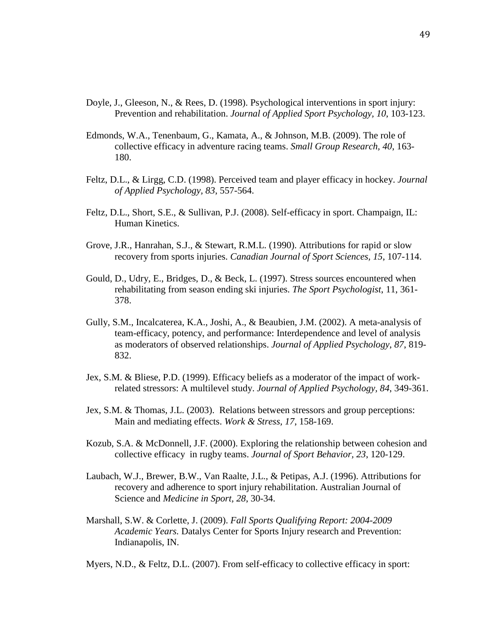- Doyle, J., Gleeson, N., & Rees, D. (1998). Psychological interventions in sport injury: Prevention and rehabilitation. *Journal of Applied Sport Psychology, 10*, 103-123.
- Edmonds, W.A., Tenenbaum, G., Kamata, A., & Johnson, M.B. (2009). The role of collective efficacy in adventure racing teams. *Small Group Research, 40*, 163- 180.
- Feltz, D.L., & Lirgg, C.D. (1998). Perceived team and player efficacy in hockey. *Journal of Applied Psychology, 83*, 557-564.
- Feltz, D.L., Short, S.E., & Sullivan, P.J. (2008). Self-efficacy in sport. Champaign, IL: Human Kinetics.
- Grove, J.R., Hanrahan, S.J., & Stewart, R.M.L. (1990). Attributions for rapid or slow recovery from sports injuries. *Canadian Journal of Sport Sciences, 15*, 107-114.
- Gould, D., Udry, E., Bridges, D., & Beck, L. (1997). Stress sources encountered when rehabilitating from season ending ski injuries. *The Sport Psychologist*, 11, 361- 378.
- Gully, S.M., Incalcaterea, K.A., Joshi, A., & Beaubien, J.M. (2002). A meta-analysis of team-efficacy, potency, and performance: Interdependence and level of analysis as moderators of observed relationships. *Journal of Applied Psychology*, *87*, 819- 832.
- Jex, S.M. & Bliese, P.D. (1999). Efficacy beliefs as a moderator of the impact of workrelated stressors: A multilevel study. *Journal of Applied Psychology, 84*, 349-361.
- Jex, S.M. & Thomas, J.L. (2003). Relations between stressors and group perceptions: Main and mediating effects. *Work & Stress, 17*, 158-169.
- Kozub, S.A. & McDonnell, J.F. (2000). Exploring the relationship between cohesion and collective efficacy in rugby teams. *Journal of Sport Behavior, 23*, 120-129.
- Laubach, W.J., Brewer, B.W., Van Raalte, J.L., & Petipas, A.J. (1996). Attributions for recovery and adherence to sport injury rehabilitation. Australian Journal of Science and *Medicine in Sport, 28*, 30-34.
- Marshall, S.W. & Corlette, J. (2009). *Fall Sports Qualifying Report: 2004-2009 Academic Years.* Datalys Center for Sports Injury research and Prevention: Indianapolis, IN.

Myers, N.D., & Feltz, D.L. (2007). From self-efficacy to collective efficacy in sport: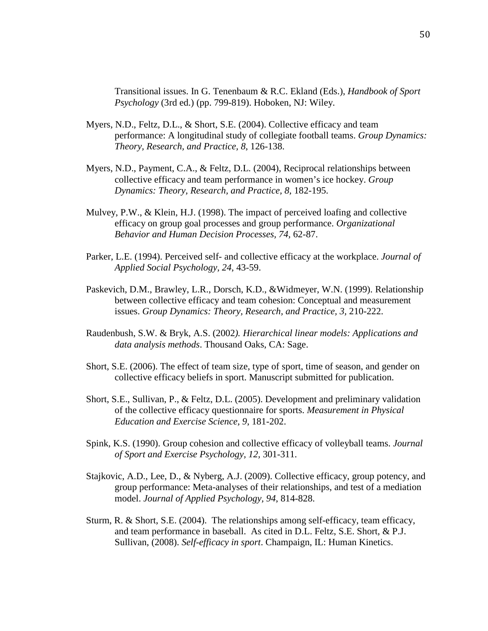Transitional issues. In G. Tenenbaum & R.C. Ekland (Eds.), *Handbook of Sport Psychology* (3rd ed.) (pp. 799-819). Hoboken, NJ: Wiley.

- Myers, N.D., Feltz, D.L., & Short, S.E. (2004). Collective efficacy and team performance: A longitudinal study of collegiate football teams. *Group Dynamics: Theory, Research, and Practice, 8*, 126-138.
- Myers, N.D., Payment, C.A., & Feltz, D.L. (2004), Reciprocal relationships between collective efficacy and team performance in women's ice hockey. *Group Dynamics: Theory, Research, and Practice, 8,* 182-195.
- Mulvey, P.W., & Klein, H.J. (1998). The impact of perceived loafing and collective efficacy on group goal processes and group performance. *Organizational Behavior and Human Decision Processes, 74,* 62-87.
- Parker, L.E. (1994). Perceived self- and collective efficacy at the workplace. *Journal of Applied Social Psychology, 24*, 43-59.
- Paskevich, D.M., Brawley, L.R., Dorsch, K.D., &Widmeyer, W.N. (1999). Relationship between collective efficacy and team cohesion: Conceptual and measurement issues. *Group Dynamics: Theory, Research, and Practice, 3,* 210-222.
- Raudenbush, S.W. & Bryk, A.S. (2002*). Hierarchical linear models: Applications and data analysis methods*. Thousand Oaks, CA: Sage.
- Short, S.E. (2006). The effect of team size, type of sport, time of season, and gender on collective efficacy beliefs in sport. Manuscript submitted for publication.
- Short, S.E., Sullivan, P., & Feltz, D.L. (2005). Development and preliminary validation of the collective efficacy questionnaire for sports. *Measurement in Physical Education and Exercise Science, 9*, 181-202.
- Spink, K.S. (1990). Group cohesion and collective efficacy of volleyball teams. *Journal of Sport and Exercise Psychology, 12,* 301-311.
- Stajkovic, A.D., Lee, D., & Nyberg, A.J. (2009). Collective efficacy, group potency, and group performance: Meta-analyses of their relationships, and test of a mediation model. *Journal of Applied Psychology, 94*, 814-828.
- Sturm, R. & Short, S.E. (2004). The relationships among self-efficacy, team efficacy, and team performance in baseball. As cited in D.L. Feltz, S.E. Short, & P.J. Sullivan, (2008). *Self-efficacy in sport*. Champaign, IL: Human Kinetics.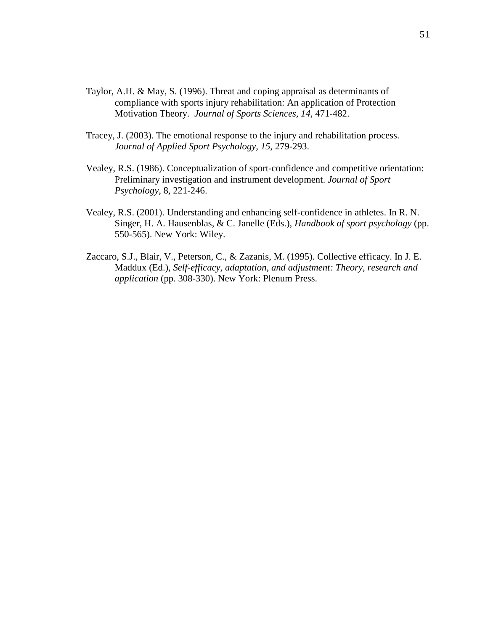- Taylor, A.H. & May, S. (1996). Threat and coping appraisal as determinants of compliance with sports injury rehabilitation: An application of Protection Motivation Theory. *Journal of Sports Sciences, 14,* 471-482.
- Tracey, J. (2003). The emotional response to the injury and rehabilitation process. *Journal of Applied Sport Psychology, 15*, 279-293.
- Vealey, R.S. (1986). Conceptualization of sport-confidence and competitive orientation: Preliminary investigation and instrument development. *Journal of Sport Psychology*, 8, 221-246.
- Vealey, R.S. (2001). Understanding and enhancing self-confidence in athletes. In R. N. Singer, H. A. Hausenblas, & C. Janelle (Eds.), *Handbook of sport psychology* (pp. 550-565). New York: Wiley.
- Zaccaro, S.J., Blair, V., Peterson, C., & Zazanis, M. (1995). Collective efficacy. In J. E. Maddux (Ed.), *Self-efficacy, adaptation, and adjustment: Theory, research and application* (pp. 308-330). New York: Plenum Press.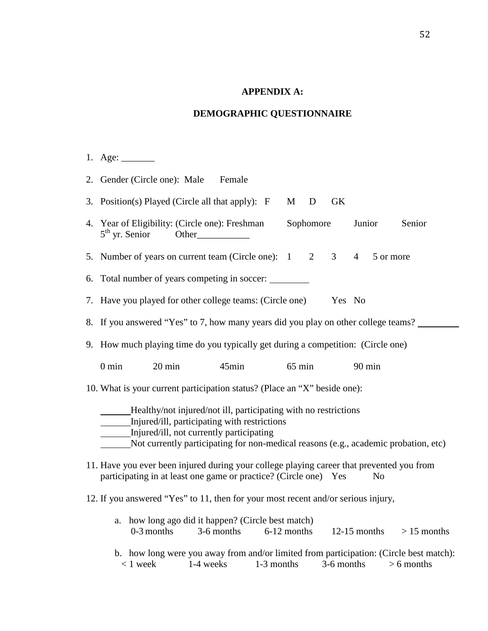### **APPENDIX A:**

### **DEMOGRAPHIC QUESTIONNAIRE**

- 1. Age: \_\_\_\_\_\_\_
- 2. Gender (Circle one): Male Female 3. Position(s) Played (Circle all that apply):  $F$  M D GK 4. Year of Eligibility: (Circle one): Freshman Sophomore Junior Senior  $5<sup>th</sup>$  yr. Senior Other 5. Number of years on current team (Circle one):  $1 \quad 2 \quad 3 \quad 4 \quad 5$  or more 6. Total number of years competing in soccer: 7. Have you played for other college teams: (Circle one) Yes No 8. If you answered "Yes" to 7, how many years did you play on other college teams? 9. How much playing time do you typically get during a competition: (Circle one) 0 min 20 min 45min 65 min 90 min 10. What is your current participation status? (Place an "X" beside one): Healthy/not injured/not ill, participating with no restrictions Injured/ill, participating with restrictions Injured/ill, not currently participating Not currently participating for non-medical reasons (e.g., academic probation, etc) 11. Have you ever been injured during your college playing career that prevented you from participating in at least one game or practice? (Circle one) Yes No 12. If you answered "Yes" to 11, then for your most recent and/or serious injury, a. how long ago did it happen? (Circle best match)
	- b. how long were you away from and/or limited from participation: (Circle best match):  $\langle 1 \text{ week} \rangle$  1-4 weeks 1-3 months 3-6 months  $> 6$  months

0-3 months 3-6 months 6-12 months 12-15 months  $> 15$  months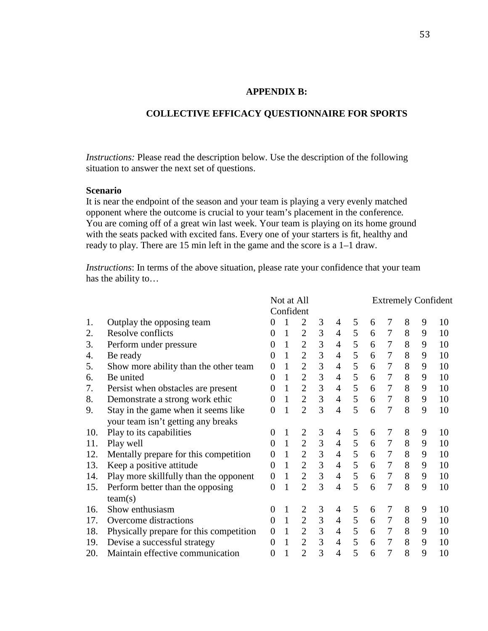### **APPENDIX B:**

## **COLLECTIVE EFFICACY QUESTIONNAIRE FOR SPORTS**

*Instructions:* Please read the description below. Use the description of the following situation to answer the next set of questions.

### **Scenario**

It is near the endpoint of the season and your team is playing a very evenly matched opponent where the outcome is crucial to your team's placement in the conference*.* You are coming off of a great win last week. Your team is playing on its home ground with the seats packed with excited fans. Every one of your starters is fit, healthy and ready to play. There are 15 min left in the game and the score is a 1–1 draw.

*Instructions*: In terms of the above situation, please rate your confidence that your team has the ability to…

|     |                                         |                | Not at All |                |   |                |   |   |                |   |   | <b>Extremely Confident</b> |
|-----|-----------------------------------------|----------------|------------|----------------|---|----------------|---|---|----------------|---|---|----------------------------|
|     |                                         |                | Confident  |                |   |                |   |   |                |   |   |                            |
| 1.  | Outplay the opposing team               | 0              |            | $\overline{2}$ | 3 | 4              | 5 | 6 | 7              | 8 | 9 | 10                         |
| 2.  | Resolve conflicts                       | $\Omega$       | 1          | $\overline{2}$ | 3 | 4              | 5 | 6 | $\tau$         | 8 | 9 | 10                         |
| 3.  | Perform under pressure                  | 0              |            | $\overline{2}$ | 3 | $\overline{4}$ | 5 | 6 | 7              | 8 | 9 | 10                         |
| 4.  | Be ready                                | $\Omega$       |            | $\overline{2}$ | 3 | $\overline{4}$ | 5 | 6 | 7              | 8 | 9 | 10                         |
| 5.  | Show more ability than the other team   | 0              |            | $\overline{2}$ | 3 | $\overline{4}$ | 5 | 6 | 7              | 8 | 9 | 10                         |
| 6.  | Be united                               | 0              |            | $\overline{2}$ | 3 | 4              | 5 | 6 | 7              | 8 | 9 | 10                         |
| 7.  | Persist when obstacles are present      | 0              |            | $\overline{2}$ | 3 | 4              | 5 | 6 | $\overline{7}$ | 8 | 9 | 10                         |
| 8.  | Demonstrate a strong work ethic         | 0              |            | $\overline{2}$ | 3 | 4              | 5 | 6 | $\overline{7}$ | 8 | 9 | 10                         |
| 9.  | Stay in the game when it seems like     | 0              |            | $\overline{2}$ | 3 | $\overline{4}$ | 5 | 6 | $\overline{7}$ | 8 | 9 | 10                         |
|     | your team isn't getting any breaks      |                |            |                |   |                |   |   |                |   |   |                            |
| 10. | Play to its capabilities                | 0              |            | $\overline{2}$ | 3 | 4              | 5 | 6 | 7              | 8 | 9 | 10                         |
| 11. | Play well                               | 0              | 1          | $\overline{2}$ | 3 | 4              | 5 | 6 | $\tau$         | 8 | 9 | 10                         |
| 12. | Mentally prepare for this competition   | 0              |            | $\overline{2}$ | 3 | 4              | 5 | 6 | 7              | 8 | 9 | 10                         |
| 13. | Keep a positive attitude                | 0              |            | $\overline{2}$ | 3 | $\overline{4}$ | 5 | 6 | $\overline{7}$ | 8 | 9 | 10                         |
| 14. | Play more skillfully than the opponent  | $\overline{0}$ |            | $\overline{2}$ | 3 | $\overline{4}$ | 5 | 6 | 7              | 8 | 9 | 10                         |
| 15. | Perform better than the opposing        | $\theta$       |            | $\overline{2}$ | 3 | 4              | 5 | 6 | $\overline{7}$ | 8 | 9 | 10                         |
|     | team(s)                                 |                |            |                |   |                |   |   |                |   |   |                            |
| 16. | Show enthusiasm                         | 0              |            | 2              | 3 | 4              | 5 | 6 | 7              | 8 | 9 | 10                         |
| 17. | Overcome distractions                   | $\overline{0}$ | 1          | $\overline{2}$ | 3 | 4              | 5 | 6 | 7              | 8 | 9 | 10                         |
| 18. | Physically prepare for this competition | $\Omega$       | 1          | $\overline{2}$ | 3 | $\overline{4}$ | 5 | 6 | $\overline{7}$ | 8 | 9 | 10                         |
| 19. | Devise a successful strategy            | 0              |            | $\overline{2}$ | 3 | $\overline{4}$ | 5 | 6 | 7              | 8 | 9 | 10                         |
| 20. | Maintain effective communication        | 0              |            | $\overline{2}$ | 3 | $\overline{4}$ | 5 | 6 | 7              | 8 | 9 | 10                         |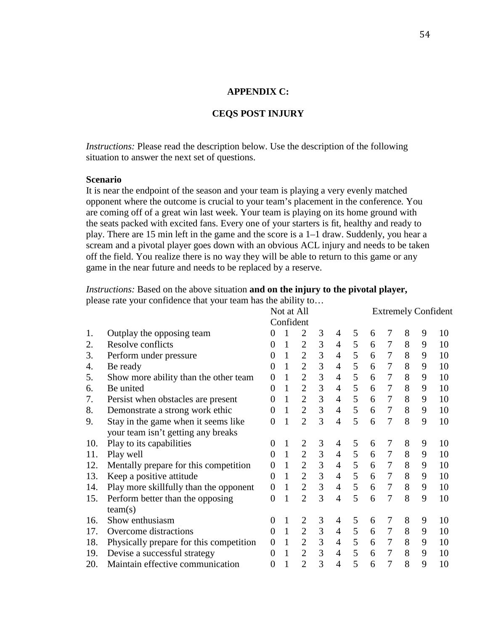## **APPENDIX C:**

## **CEQS POST INJURY**

*Instructions:* Please read the description below. Use the description of the following situation to answer the next set of questions.

### **Scenario**

It is near the endpoint of the season and your team is playing a very evenly matched opponent where the outcome is crucial to your team's placement in the conference*.* You are coming off of a great win last week. Your team is playing on its home ground with the seats packed with excited fans. Every one of your starters is fit, healthy and ready to play. There are 15 min left in the game and the score is a 1–1 draw. Suddenly, you hear a scream and a pivotal player goes down with an obvious ACL injury and needs to be taken off the field. You realize there is no way they will be able to return to this game or any game in the near future and needs to be replaced by a reserve.

*Instructions:* Based on the above situation **and on the injury to the pivotal player,** please rate your confidence that your team has the ability to…

|     | $10$ can commutative that $10$ and team mas the ability |                |              |                |   |                |   |   |                            |   |   |    |  |
|-----|---------------------------------------------------------|----------------|--------------|----------------|---|----------------|---|---|----------------------------|---|---|----|--|
|     |                                                         |                | Not at All   |                |   |                |   |   | <b>Extremely Confident</b> |   |   |    |  |
|     |                                                         |                | Confident    |                |   |                |   |   |                            |   |   |    |  |
| 1.  | Outplay the opposing team                               | 0              |              | $\overline{2}$ | 3 | 4              | 5 | 6 | 7                          | 8 | 9 | 10 |  |
| 2.  | Resolve conflicts                                       | 0              | 1            | $\overline{2}$ | 3 | 4              | 5 | 6 | $\tau$                     | 8 | 9 | 10 |  |
| 3.  | Perform under pressure                                  | 0              | 1            | $\overline{2}$ | 3 | 4              | 5 | 6 | $\overline{7}$             | 8 | 9 | 10 |  |
| 4.  | Be ready                                                | 0              | 1            | $\overline{2}$ | 3 | 4              | 5 | 6 | $\overline{7}$             | 8 | 9 | 10 |  |
| 5.  | Show more ability than the other team                   | $\overline{0}$ | 1            | $\overline{2}$ | 3 | 4              | 5 | 6 | $\overline{7}$             | 8 | 9 | 10 |  |
| 6.  | Be united                                               | $\overline{0}$ | 1            | $\overline{2}$ | 3 | 4              | 5 | 6 | $\overline{7}$             | 8 | 9 | 10 |  |
| 7.  | Persist when obstacles are present                      | 0              | 1            | $\overline{2}$ | 3 | 4              | 5 | 6 | $\overline{7}$             | 8 | 9 | 10 |  |
| 8.  | Demonstrate a strong work ethic                         | 0              | 1            | $\overline{2}$ | 3 | $\overline{4}$ | 5 | 6 | $\overline{7}$             | 8 | 9 | 10 |  |
| 9.  | Stay in the game when it seems like                     | 0              | 1            | $\overline{2}$ | 3 | $\overline{4}$ | 5 | 6 | $\overline{7}$             | 8 | 9 | 10 |  |
|     | your team isn't getting any breaks                      |                |              |                |   |                |   |   |                            |   |   |    |  |
| 10. | Play to its capabilities                                | 0              |              | $\overline{2}$ | 3 | 4              | 5 | 6 | 7                          | 8 | 9 | 10 |  |
| 11. | Play well                                               | 0              | 1            | $\overline{2}$ | 3 | $\overline{4}$ | 5 | 6 | 7                          | 8 | 9 | 10 |  |
| 12. | Mentally prepare for this competition                   | 0              |              | $\overline{2}$ | 3 | $\overline{4}$ | 5 | 6 | $\tau$                     | 8 | 9 | 10 |  |
| 13. | Keep a positive attitude                                | $\overline{0}$ | 1            | $\overline{2}$ | 3 | $\overline{4}$ | 5 | 6 | $\tau$                     | 8 | 9 | 10 |  |
| 14. | Play more skillfully than the opponent                  | $\overline{0}$ | 1            | $\overline{2}$ | 3 | $\overline{4}$ | 5 | 6 | $\tau$                     | 8 | 9 | 10 |  |
| 15. | Perform better than the opposing                        | $\overline{0}$ | 1            | $\overline{2}$ | 3 | $\overline{4}$ | 5 | 6 | $\overline{7}$             | 8 | 9 | 10 |  |
|     | team(s)                                                 |                |              |                |   |                |   |   |                            |   |   |    |  |
| 16. | Show enthusiasm                                         | 0              | 1            | $\overline{2}$ | 3 | 4              | 5 | 6 | 7                          | 8 | 9 | 10 |  |
| 17. | Overcome distractions                                   | $\overline{0}$ | $\mathbf{1}$ | $\overline{2}$ | 3 | $\overline{4}$ | 5 | 6 | $\overline{7}$             | 8 | 9 | 10 |  |
| 18. | Physically prepare for this competition                 | $\overline{0}$ | 1            | $\overline{2}$ | 3 | $\overline{4}$ | 5 | 6 | $\overline{7}$             | 8 | 9 | 10 |  |
| 19. | Devise a successful strategy                            | $\overline{0}$ | 1            | $\overline{2}$ | 3 | $\overline{4}$ | 5 | 6 | $\overline{7}$             | 8 | 9 | 10 |  |
| 20. | Maintain effective communication                        | $\overline{0}$ |              | $\overline{2}$ | 3 | $\overline{4}$ | 5 | 6 | $\overline{7}$             | 8 | 9 | 10 |  |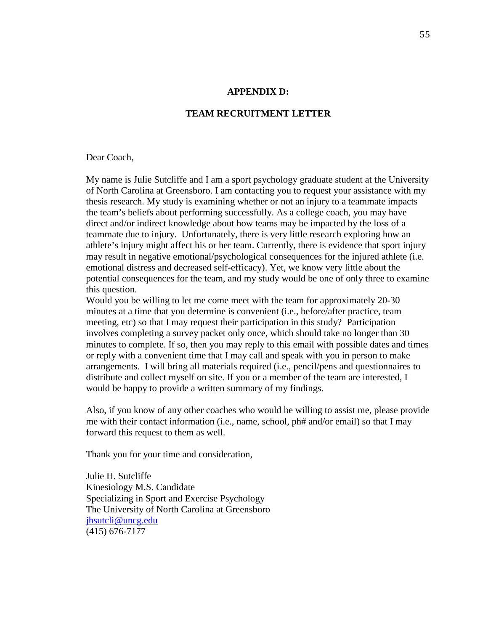#### **APPENDIX D:**

### **TEAM RECRUITMENT LETTER**

#### Dear Coach,

My name is Julie Sutcliffe and I am a sport psychology graduate student at the University of North Carolina at Greensboro. I am contacting you to request your assistance with my thesis research. My study is examining whether or not an injury to a teammate impacts the team's beliefs about performing successfully. As a college coach, you may have direct and/or indirect knowledge about how teams may be impacted by the loss of a teammate due to injury. Unfortunately, there is very little research exploring how an athlete's injury might affect his or her team. Currently, there is evidence that sport injury may result in negative emotional/psychological consequences for the injured athlete (i.e. emotional distress and decreased self-efficacy). Yet, we know very little about the potential consequences for the team, and my study would be one of only three to examine this question.

Would you be willing to let me come meet with the team for approximately 20-30 minutes at a time that you determine is convenient (i.e., before/after practice, team meeting, etc) so that I may request their participation in this study? Participation involves completing a survey packet only once, which should take no longer than 30 minutes to complete. If so, then you may reply to this email with possible dates and times or reply with a convenient time that I may call and speak with you in person to make arrangements. I will bring all materials required (i.e., pencil/pens and questionnaires to distribute and collect myself on site. If you or a member of the team are interested, I would be happy to provide a written summary of my findings.

Also, if you know of any other coaches who would be willing to assist me, please provide me with their contact information (i.e., name, school, ph# and/or email) so that I may forward this request to them as well.

Thank you for your time and consideration,

Julie H. Sutcliffe Kinesiology M.S. Candidate Specializing in Sport and Exercise Psychology The University of North Carolina at Greensboro jhsutcli@uncg.edu (415) 676-7177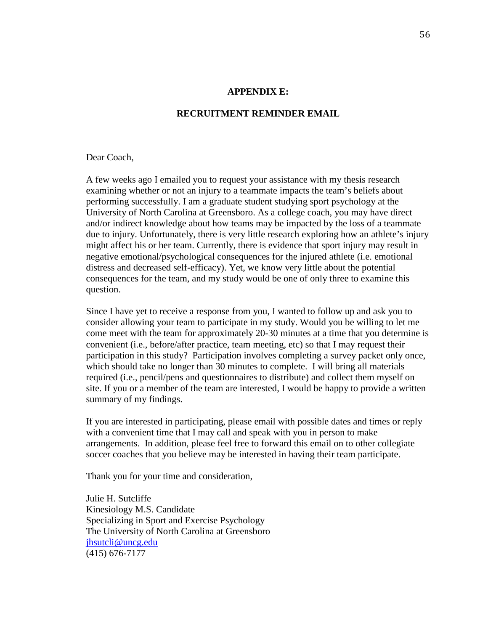#### **APPENDIX E:**

### **RECRUITMENT REMINDER EMAIL**

#### Dear Coach.

A few weeks ago I emailed you to request your assistance with my thesis research examining whether or not an injury to a teammate impacts the team's beliefs about performing successfully. I am a graduate student studying sport psychology at the University of North Carolina at Greensboro. As a college coach, you may have direct and/or indirect knowledge about how teams may be impacted by the loss of a teammate due to injury. Unfortunately, there is very little research exploring how an athlete's injury might affect his or her team. Currently, there is evidence that sport injury may result in negative emotional/psychological consequences for the injured athlete (i.e. emotional distress and decreased self-efficacy). Yet, we know very little about the potential consequences for the team, and my study would be one of only three to examine this question.

Since I have yet to receive a response from you, I wanted to follow up and ask you to consider allowing your team to participate in my study. Would you be willing to let me come meet with the team for approximately 20-30 minutes at a time that you determine is convenient (i.e., before/after practice, team meeting, etc) so that I may request their participation in this study? Participation involves completing a survey packet only once, which should take no longer than 30 minutes to complete. I will bring all materials required (i.e., pencil/pens and questionnaires to distribute) and collect them myself on site. If you or a member of the team are interested, I would be happy to provide a written summary of my findings.

If you are interested in participating, please email with possible dates and times or reply with a convenient time that I may call and speak with you in person to make arrangements. In addition, please feel free to forward this email on to other collegiate soccer coaches that you believe may be interested in having their team participate.

Thank you for your time and consideration,

Julie H. Sutcliffe Kinesiology M.S. Candidate Specializing in Sport and Exercise Psychology The University of North Carolina at Greensboro jhsutcli@uncg.edu (415) 676-7177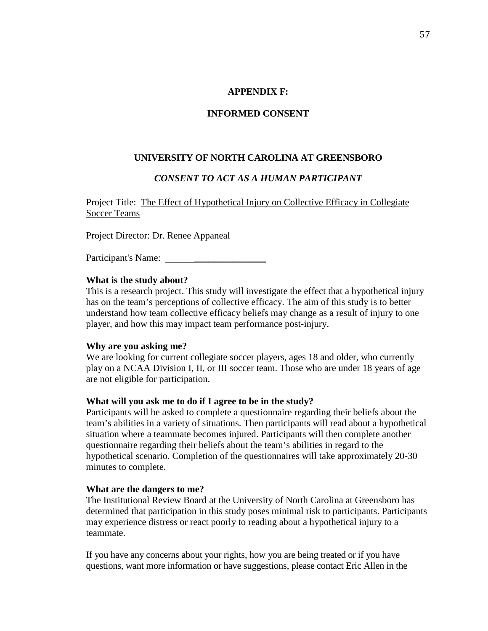### **APPENDIX F:**

### **INFORMED CONSENT**

### **UNIVERSITY OF NORTH CAROLINA AT GREENSBORO**

### *CONSENT TO ACT AS A HUMAN PARTICIPANT*

Project Title: The Effect of Hypothetical Injury on Collective Efficacy in Collegiate Soccer Teams

Project Director: Dr. Renee Appaneal

Participant's Name: \_\_\_\_\_\_\_\_\_\_\_\_\_\_\_

#### **What is the study about?**

This is a research project. This study will investigate the effect that a hypothetical injury has on the team's perceptions of collective efficacy. The aim of this study is to better understand how team collective efficacy beliefs may change as a result of injury to one player, and how this may impact team performance post-injury.

#### **Why are you asking me?**

We are looking for current collegiate soccer players, ages 18 and older, who currently play on a NCAA Division I, II, or III soccer team. Those who are under 18 years of age are not eligible for participation.

#### **What will you ask me to do if I agree to be in the study?**

Participants will be asked to complete a questionnaire regarding their beliefs about the team's abilities in a variety of situations. Then participants will read about a hypothetical situation where a teammate becomes injured. Participants will then complete another questionnaire regarding their beliefs about the team's abilities in regard to the hypothetical scenario. Completion of the questionnaires will take approximately 20-30 minutes to complete.

### **What are the dangers to me?**

The Institutional Review Board at the University of North Carolina at Greensboro has determined that participation in this study poses minimal risk to participants. Participants may experience distress or react poorly to reading about a hypothetical injury to a teammate.

If you have any concerns about your rights, how you are being treated or if you have questions, want more information or have suggestions, please contact Eric Allen in the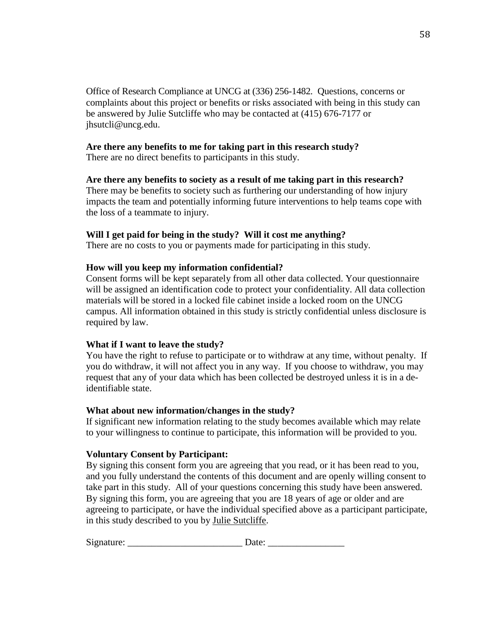Office of Research Compliance at UNCG at (336) 256-1482. Questions, concerns or complaints about this project or benefits or risks associated with being in this study can be answered by Julie Sutcliffe who may be contacted at (415) 676-7177 or jhsutcli@uncg.edu.

## **Are there any benefits to me for taking part in this research study?**

There are no direct benefits to participants in this study.

# **Are there any benefits to society as a result of me taking part in this research?**

There may be benefits to society such as furthering our understanding of how injury impacts the team and potentially informing future interventions to help teams cope with the loss of a teammate to injury.

# **Will I get paid for being in the study? Will it cost me anything?**

There are no costs to you or payments made for participating in this study.

# **How will you keep my information confidential?**

Consent forms will be kept separately from all other data collected. Your questionnaire will be assigned an identification code to protect your confidentiality. All data collection materials will be stored in a locked file cabinet inside a locked room on the UNCG campus. All information obtained in this study is strictly confidential unless disclosure is required by law.

# **What if I want to leave the study?**

You have the right to refuse to participate or to withdraw at any time, without penalty. If you do withdraw, it will not affect you in any way. If you choose to withdraw, you may request that any of your data which has been collected be destroyed unless it is in a deidentifiable state.

## **What about new information/changes in the study?**

If significant new information relating to the study becomes available which may relate to your willingness to continue to participate, this information will be provided to you.

## **Voluntary Consent by Participant:**

By signing this consent form you are agreeing that you read, or it has been read to you, and you fully understand the contents of this document and are openly willing consent to take part in this study. All of your questions concerning this study have been answered. By signing this form, you are agreeing that you are 18 years of age or older and are agreeing to participate, or have the individual specified above as a participant participate, in this study described to you by Julie Sutcliffe.

| Signature: |  |
|------------|--|
|------------|--|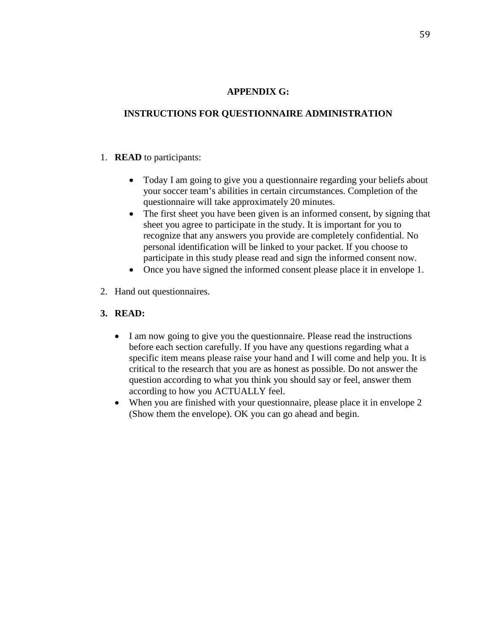## **APPENDIX G:**

# **INSTRUCTIONS FOR QUESTIONNAIRE ADMINISTRATION**

# 1. **READ** to participants:

- Today I am going to give you a questionnaire regarding your beliefs about your soccer team's abilities in certain circumstances. Completion of the questionnaire will take approximately 20 minutes.
- The first sheet you have been given is an informed consent, by signing that sheet you agree to participate in the study. It is important for you to recognize that any answers you provide are completely confidential. No personal identification will be linked to your packet. If you choose to participate in this study please read and sign the informed consent now.
- Once you have signed the informed consent please place it in envelope 1.
- 2. Hand out questionnaires.
- **3. READ:** 
	- I am now going to give you the questionnaire. Please read the instructions before each section carefully. If you have any questions regarding what a specific item means please raise your hand and I will come and help you. It is critical to the research that you are as honest as possible. Do not answer the question according to what you think you should say or feel, answer them according to how you ACTUALLY feel.
	- When you are finished with your questionnaire, please place it in envelope 2 (Show them the envelope). OK you can go ahead and begin.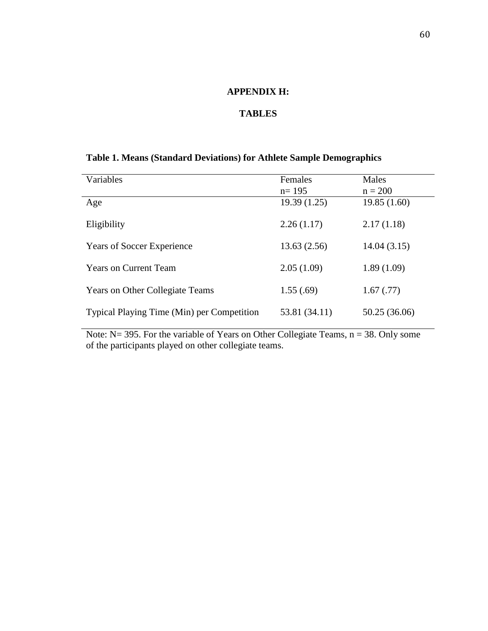## **APPENDIX H:**

## **TABLES**

# **Table 1. Means (Standard Deviations) for Athlete Sample Demographics**

| Variables                                  | Females<br>$n=195$ | Males<br>$n = 200$ |
|--------------------------------------------|--------------------|--------------------|
| Age                                        | 19.39(1.25)        | 19.85(1.60)        |
| Eligibility                                | 2.26(1.17)         | 2.17(1.18)         |
| <b>Years of Soccer Experience</b>          | 13.63(2.56)        | 14.04(3.15)        |
| <b>Years on Current Team</b>               | 2.05(1.09)         | 1.89(1.09)         |
| <b>Years on Other Collegiate Teams</b>     | 1.55(.69)          | 1.67(0.77)         |
| Typical Playing Time (Min) per Competition | 53.81 (34.11)      | 50.25 (36.06)      |

Note:  $N = 395$ . For the variable of Years on Other Collegiate Teams,  $n = 38$ . Only some of the participants played on other collegiate teams.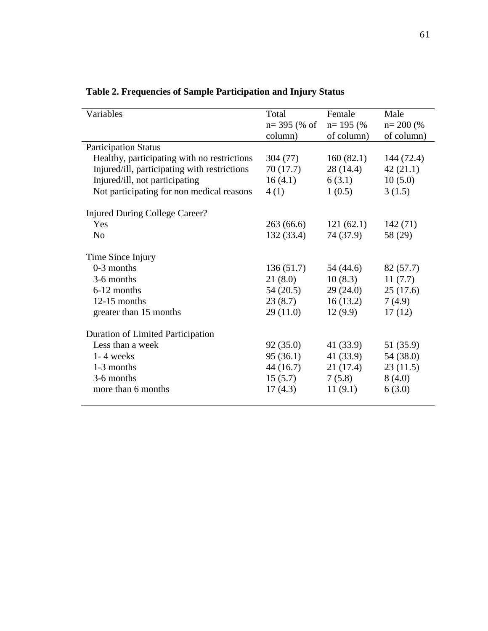| Variables                                    | Total<br>$n=$ 395 (% of<br>column) | Female<br>$n=195$ (%)<br>of column) | Male<br>$n = 200$ (%)<br>of column) |
|----------------------------------------------|------------------------------------|-------------------------------------|-------------------------------------|
| <b>Participation Status</b>                  |                                    |                                     |                                     |
| Healthy, participating with no restrictions  | 304 (77)                           | 160(82.1)                           | 144 (72.4)                          |
| Injured/ill, participating with restrictions | 70 (17.7)                          | 28(14.4)                            | 42(21.1)                            |
| Injured/ill, not participating               | 16(4.1)                            | 6(3.1)                              | 10(5.0)                             |
| Not participating for non medical reasons    | 4(1)                               | 1(0.5)                              | 3(1.5)                              |
| Injured During College Career?               |                                    |                                     |                                     |
| Yes                                          | 263(66.6)                          | 121(62.1)                           | 142(71)                             |
| N <sub>0</sub>                               | 132(33.4)                          | 74 (37.9)                           | 58 (29)                             |
| Time Since Injury                            |                                    |                                     |                                     |
| $0-3$ months                                 | 136(51.7)                          | 54 (44.6)                           | 82 (57.7)                           |
| 3-6 months                                   | 21(8.0)                            | 10(8.3)                             | 11(7.7)                             |
| 6-12 months                                  | 54(20.5)                           | 29(24.0)                            | 25(17.6)                            |
| $12-15$ months                               | 23(8.7)                            | 16(13.2)                            | 7(4.9)                              |
| greater than 15 months                       | 29(11.0)                           | 12(9.9)                             | 17(12)                              |
| <b>Duration of Limited Participation</b>     |                                    |                                     |                                     |
| Less than a week                             | 92(35.0)                           | 41 (33.9)                           | 51 (35.9)                           |
| $1 - 4$ weeks                                | 95(36.1)                           | 41(33.9)                            | 54 (38.0)                           |
| 1-3 months                                   | 44(16.7)                           | 21(17.4)                            | 23(11.5)                            |
| 3-6 months                                   | 15(5.7)                            | 7(5.8)                              | 8(4.0)                              |
| more than 6 months                           | 17(4.3)                            | 11(9.1)                             | 6(3.0)                              |
|                                              |                                    |                                     |                                     |

**Table 2. Frequencies of Sample Participation and Injury Status**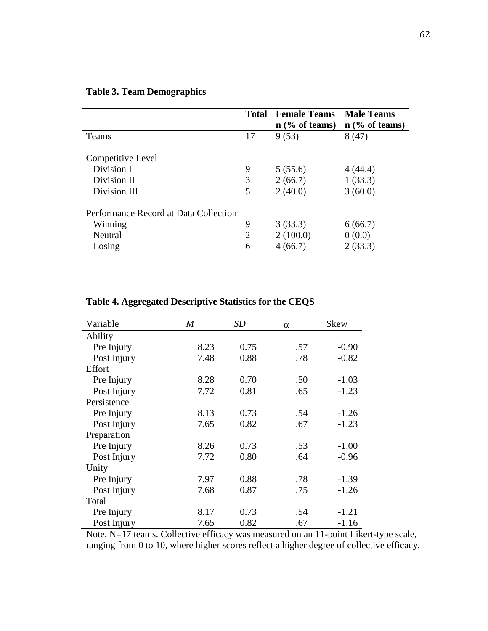|                                       | Total | <b>Female Teams</b><br>$n$ (% of teams) | <b>Male Teams</b><br>$n$ (% of teams) |
|---------------------------------------|-------|-----------------------------------------|---------------------------------------|
| Teams                                 | 17    | 9(53)                                   | 8(47)                                 |
| Competitive Level                     |       |                                         |                                       |
| Division I                            | 9     | 5(55.6)                                 | 4(44.4)                               |
| Division II                           | 3     | 2(66.7)                                 | 1(33.3)                               |
| Division III                          | 5     | 2(40.0)                                 | 3(60.0)                               |
| Performance Record at Data Collection |       |                                         |                                       |
| Winning                               | 9     | 3(33.3)                                 | 6(66.7)                               |
| Neutral                               | 2     | 2(100.0)                                | 0(0.0)                                |
| Losing                                | 6     | 4(66.7)                                 | 2(33.3)                               |

# **Table 3. Team Demographics**

| Table 4. Aggregated Descriptive Statistics for the CEQS |
|---------------------------------------------------------|
|---------------------------------------------------------|

| Variable    | M    | <b>SD</b> | $\alpha$ | <b>Skew</b> |
|-------------|------|-----------|----------|-------------|
| Ability     |      |           |          |             |
| Pre Injury  | 8.23 | 0.75      | .57      | $-0.90$     |
| Post Injury | 7.48 | 0.88      | .78      | $-0.82$     |
| Effort      |      |           |          |             |
| Pre Injury  | 8.28 | 0.70      | .50      | $-1.03$     |
| Post Injury | 7.72 | 0.81      | .65      | $-1.23$     |
| Persistence |      |           |          |             |
| Pre Injury  | 8.13 | 0.73      | .54      | $-1.26$     |
| Post Injury | 7.65 | 0.82      | .67      | $-1.23$     |
| Preparation |      |           |          |             |
| Pre Injury  | 8.26 | 0.73      | .53      | $-1.00$     |
| Post Injury | 7.72 | 0.80      | .64      | $-0.96$     |
| Unity       |      |           |          |             |
| Pre Injury  | 7.97 | 0.88      | .78      | $-1.39$     |
| Post Injury | 7.68 | 0.87      | .75      | $-1.26$     |
| Total       |      |           |          |             |
| Pre Injury  | 8.17 | 0.73      | .54      | $-1.21$     |
| Post Injury | 7.65 | 0.82      | .67      | $-1.16$     |

Note. N=17 teams. Collective efficacy was measured on an 11-point Likert-type scale, ranging from 0 to 10, where higher scores reflect a higher degree of collective efficacy.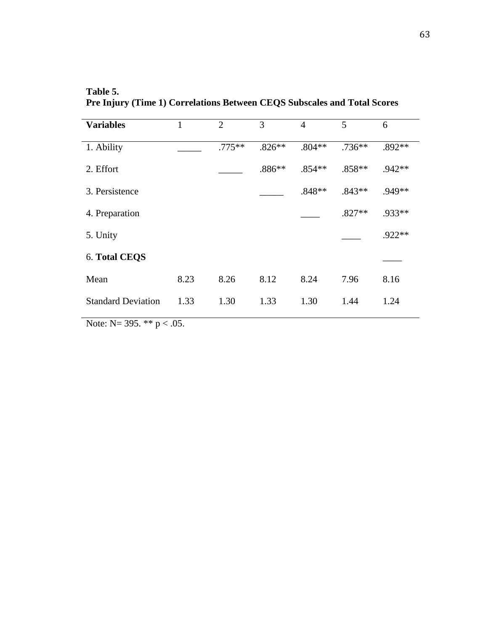**Table 5. Pre Injury (Time 1) Correlations Between CEQS Subscales and Total Scores** 

| <b>Variables</b>          |      | 2         | 3        | 4        | 5        | 6        |
|---------------------------|------|-----------|----------|----------|----------|----------|
| 1. Ability                |      | $.775***$ | $.826**$ | $.804**$ | $.736**$ | .892**   |
| 2. Effort                 |      |           | $.886**$ | $.854**$ | $.858**$ | $.942**$ |
| 3. Persistence            |      |           |          | $.848**$ | $.843**$ | .949**   |
| 4. Preparation            |      |           |          |          | $.827**$ | .933**   |
| 5. Unity                  |      |           |          |          |          | $.922**$ |
| 6. Total CEQS             |      |           |          |          |          |          |
| Mean                      | 8.23 | 8.26      | 8.12     | 8.24     | 7.96     | 8.16     |
| <b>Standard Deviation</b> | 1.33 | 1.30      | 1.33     | 1.30     | 1.44     | 1.24     |

Note:  $N=$  395. \*\*  $p < .05$ .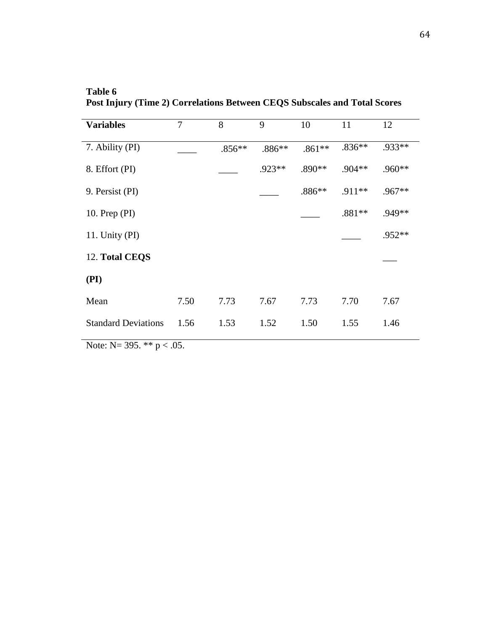**Table 6 Post Injury (Time 2) Correlations Between CEQS Subscales and Total Scores** 

| <b>Variables</b>           | $\overline{7}$ | 8        | 9        | 10       | 11       | 12     |
|----------------------------|----------------|----------|----------|----------|----------|--------|
| 7. Ability (PI)            |                | $.856**$ | $.886**$ | $.861**$ | $.836**$ | .933** |
| 8. Effort (PI)             |                |          | .923**   | $.890**$ | $.904**$ | .960** |
| 9. Persist (PI)            |                |          |          | $.886**$ | .911**   | .967** |
| 10. Prep $(PI)$            |                |          |          |          | .881**   | .949** |
| 11. Unity (PI)             |                |          |          |          |          | .952** |
| 12. Total CEQS             |                |          |          |          |          |        |
| (PI)                       |                |          |          |          |          |        |
| Mean                       | 7.50           | 7.73     | 7.67     | 7.73     | 7.70     | 7.67   |
| <b>Standard Deviations</b> | 1.56           | 1.53     | 1.52     | 1.50     | 1.55     | 1.46   |
|                            |                |          |          |          |          |        |

Note:  $N=$  395. \*\*  $p < .05$ .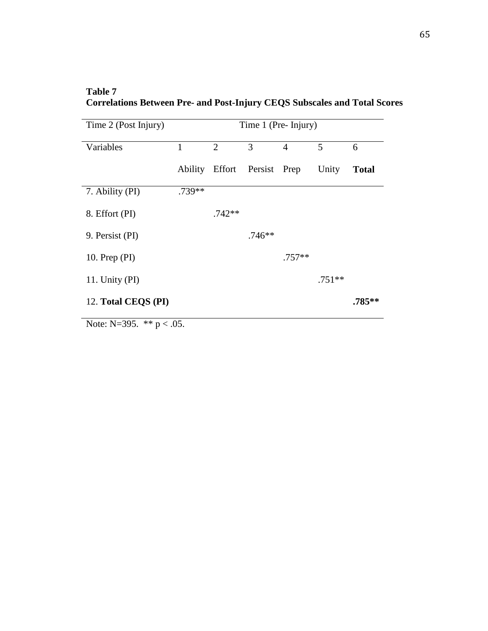## **Table 7 Correlations Between Pre- and Post-Injury CEQS Subscales and Total Scores**

|        | 2        | 3                           | 4        | 5        |              |
|--------|----------|-----------------------------|----------|----------|--------------|
|        |          |                             |          |          | 6            |
|        |          | Ability Effort Persist Prep |          | Unity    | <b>Total</b> |
| .739** |          |                             |          |          |              |
|        | $.742**$ |                             |          |          |              |
|        |          | $.746**$                    |          |          |              |
|        |          |                             | $.757**$ |          |              |
|        |          |                             |          | $.751**$ |              |
|        |          |                             |          |          | .785**       |
|        |          |                             |          |          |              |

Note: N=395.  $*$   $p < .05$ .